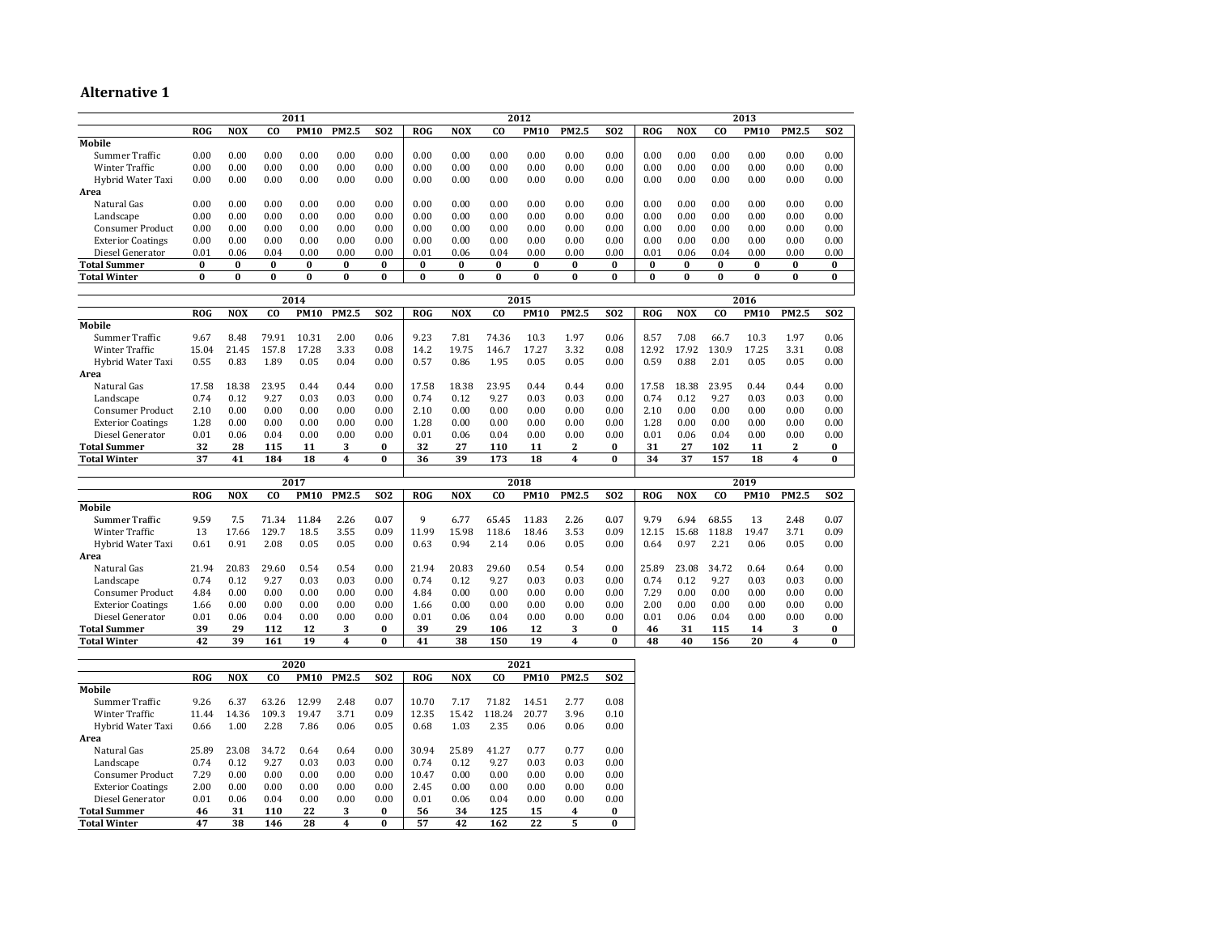|                          |            |            |                | 2011        |              |            |            |              |          | 2012        |              |            |            |            |                | 2013        |              |            |
|--------------------------|------------|------------|----------------|-------------|--------------|------------|------------|--------------|----------|-------------|--------------|------------|------------|------------|----------------|-------------|--------------|------------|
|                          | <b>ROG</b> | <b>NOX</b> | CO.            | <b>PM10</b> | <b>PM2.5</b> | <b>SO2</b> | <b>ROG</b> | <b>NOX</b>   | CO.      | <b>PM10</b> | <b>PM2.5</b> | <b>SO2</b> | <b>ROG</b> | <b>NOX</b> | CO.            | <b>PM10</b> | <b>PM2.5</b> | <b>SO2</b> |
| Mobile                   |            |            |                |             |              |            |            |              |          |             |              |            |            |            |                |             |              |            |
| Summer Traffic           | 0.00       | 0.00       | 0.00           | 0.00        | 0.00         | 0.00       | 0.00       | 0.00         | 0.00     | 0.00        | 0.00         | 0.00       | 0.00       | 0.00       | 0.00           | 0.00        | 0.00         | 0.00       |
| Winter Traffic           | 0.00       | 0.00       | 0.00           | 0.00        | 0.00         | 0.00       | 0.00       | 0.00         | 0.00     | 0.00        | 0.00         | 0.00       | 0.00       | 0.00       | 0.00           | 0.00        | 0.00         | 0.00       |
| Hybrid Water Taxi        | 0.00       | 0.00       | 0.00           | 0.00        | 0.00         | 0.00       | 0.00       | 0.00         | 0.00     | 0.00        | 0.00         | 0.00       | 0.00       | 0.00       | 0.00           | 0.00        | 0.00         | 0.00       |
| Area                     |            |            |                |             |              |            |            |              |          |             |              |            |            |            |                |             |              |            |
| Natural Gas              | 0.00       | 0.00       | 0.00           | 0.00        | 0.00         | 0.00       | 0.00       | 0.00         | 0.00     | 0.00        | 0.00         | 0.00       | 0.00       | 0.00       | 0.00           | 0.00        | 0.00         | 0.00       |
| Landscape                | 0.00       | 0.00       | 0.00           | 0.00        | 0.00         | 0.00       | 0.00       | 0.00         | 0.00     | 0.00        | 0.00         | 0.00       | 0.00       | 0.00       | 0.00           | 0.00        | 0.00         | 0.00       |
| Consumer Product         | 0.00       | 0.00       | 0.00           | 0.00        | 0.00         | 0.00       | 0.00       | 0.00         | 0.00     | 0.00        | 0.00         | 0.00       | 0.00       | 0.00       | 0.00           | 0.00        | 0.00         | 0.00       |
| <b>Exterior Coatings</b> | 0.00       | 0.00       | 0.00           | 0.00        | 0.00         | 0.00       | 0.00       | 0.00         | 0.00     | 0.00        | 0.00         | 0.00       | 0.00       | 0.00       | 0.00           | 0.00        | 0.00         | 0.00       |
| Diesel Generator         | 0.01       | 0.06       | 0.04           | 0.00        | 0.00         | 0.00       | 0.01       | 0.06         | 0.04     | 0.00        | 0.00         | 0.00       | 0.01       | 0.06       | 0.04           | 0.00        | 0.00         | 0.00       |
| <b>Total Summer</b>      | 0          | $\bf{0}$   | $\bf{0}$       | 0           | $\bf{0}$     | $\bf{0}$   | 0          | $\mathbf{0}$ | $\bf{0}$ | $\bf{0}$    | $\bf{0}$     | $\bf{0}$   | 0          | $\bf{0}$   | $\bf{0}$       | 0           | $\bf{0}$     | 0          |
| <b>Total Winter</b>      | 0          | 0          | $\bf{0}$       | $\bf{0}$    | $\bf{0}$     | $\bf{0}$   | O          | $\bf{0}$     | 0        | $\bf{0}$    | $\bf{0}$     | $\bf{0}$   | 0          | $\bf{0}$   | $\bf{0}$       | 0           | 0            | $\bf{0}$   |
|                          |            |            |                |             |              |            |            |              |          |             |              |            |            |            |                |             |              |            |
|                          |            |            |                | 2014        |              |            |            |              |          | 2015        |              |            |            |            |                | 2016        |              |            |
|                          | <b>ROG</b> | <b>NOX</b> | C <sub>0</sub> | <b>PM10</b> | <b>PM2.5</b> | <b>SO2</b> | <b>ROG</b> | <b>NOX</b>   | $c_{0}$  | <b>PM10</b> | <b>PM2.5</b> | <b>SO2</b> | <b>ROG</b> | <b>NOX</b> | C <sub>0</sub> | <b>PM10</b> | <b>PM2.5</b> | <b>SO2</b> |
| Mobile                   |            |            |                |             |              |            |            |              |          |             |              |            |            |            |                |             |              |            |

| <b>Total Winter</b>      | 37    | 41    | 184   | 18    |      |          | 36    | 39    | 173   | 18    |      |          | 34    | 37    | 157   | 18    |      |      |
|--------------------------|-------|-------|-------|-------|------|----------|-------|-------|-------|-------|------|----------|-------|-------|-------|-------|------|------|
| <b>Total Summer</b>      | 32    | 28    | 115   | 11    | 3    | $\bf{0}$ | 32    | 27    | 110   | 11    | 2    | $\bf{0}$ | 31    | 27    | 102   | 11    |      | 0    |
| Diesel Generator         | 0.01  | 0.06  | 0.04  | 0.00  | 0.00 | 0.00     | 0.01  | 0.06  | 0.04  | 0.00  | 0.00 | 0.00     | 0.01  | 0.06  | 0.04  | 0.00  | 0.00 | 0.00 |
| <b>Exterior Coatings</b> | 1.28  | 0.00  | 0.00  | 0.00  | 0.00 | 0.00     | 1.28  | 0.00  | 0.00  | 0.00  | 0.00 | 0.00     | .28   | 0.00  | 0.00  | 0.00  | 0.00 | 0.00 |
| Consumer Product         | 2.10  | 0.00  | 0.00  | 0.00  | 0.00 | 0.00     | 2.10  | 0.00  | 0.00  | 0.00  | 0.00 | 0.00     | 2.10  | 0.00  | 0.00  | 0.00  | 0.00 | 0.00 |
| Landscape                | 0.74  | 0.12  | 9.27  | 0.03  | 0.03 | 0.00     | 0.74  | 0.12  | 9.27  | 0.03  | 0.03 | 0.00     | 0.74  | 0.12  | 9.27  | 0.03  | 0.03 | 0.00 |
| Natural Gas              | 17.58 | 18.38 | 23.95 | 0.44  | 0.44 | 0.00     | 17.58 | 18.38 | 23.95 | 0.44  | 0.44 | 0.00     | 17.58 | 18.38 | 23.95 | 0.44  | 0.44 | 0.00 |
| Area                     |       |       |       |       |      |          |       |       |       |       |      |          |       |       |       |       |      |      |
| Hybrid Water Taxi        | 0.55  | 0.83  | . 89  | 0.05  | 0.04 | 0.00     | 0.57  | 0.86  | 1.95  | 0.05  | 0.05 | 0.00     | 0.59  | 0.88  | 2.01  | 0.05  | 0.05 | 0.00 |
| <b>Winter Traffic</b>    | 15.04 | 21.45 | 157   | .7.28 | 3.33 | 0.08     | 14.2  | 19.75 | 146.  | 17.27 | 3.32 | 0.08     | 12.92 | 17.92 | 130.9 | 17.25 | 3.31 | 0.08 |
| Summer Traffic           | 9.67  | 8.48  | 79.9  | 0.31  | 2.00 | 0.06     | 9.23  | 7.81  | 74.36 | 10.3  | 1.97 | 0.06     | 8.57  | 7.08  | -66.7 | 10.3  | 1.97 | 0.06 |
| Mobile                   |       |       |       |       |      |          |       |       |       |       |      |          |       |       |       |       |      |      |

|                          |            |            |                | 2017        |              |            |            |            |       | 2018        |              |            |            |            |       | 2019        |              |            |
|--------------------------|------------|------------|----------------|-------------|--------------|------------|------------|------------|-------|-------------|--------------|------------|------------|------------|-------|-------------|--------------|------------|
|                          | <b>ROG</b> | <b>NOX</b> | C <sub>0</sub> | <b>PM10</b> | <b>PM2.5</b> | <b>SO2</b> | <b>ROG</b> | <b>NOX</b> | CO.   | <b>PM10</b> | <b>PM2.5</b> | <b>SO2</b> | <b>ROG</b> | <b>NOX</b> | CO.   | <b>PM10</b> | <b>PM2.5</b> | <b>SO2</b> |
| Mobile                   |            |            |                |             |              |            |            |            |       |             |              |            |            |            |       |             |              |            |
| Summer Traffic           | 9.59       | 7.5        | -34            | 11.84       | 2.26         | 0.07       |            | 6.77       | 65.45 | 11.83       | 2.26         | 0.07       | 9.79       | 6.94       | 68.55 | 13          | 2.48         | 0.07       |
| <b>Winter Traffic</b>    | 13         | 7.66       | 129.           | 18.5        | 3.55         | 0.09       | 11.99      | 15.98      | 118.6 | 18.46       | 3.53         | 0.09       | 12.15      | 15.68      | 18.8  | 19.47       | 3.71         | 0.09       |
| Hybrid Water Taxi        | 0.61       | 0.91       | 2.08           | 0.05        | 0.05         | 0.00       | 0.63       | 0.94       | 2.14  | 0.06        | 0.05         | 0.00       | 0.64       | 0.97       | 2.21  | 0.06        | 0.05         | 0.00       |
| Area                     |            |            |                |             |              |            |            |            |       |             |              |            |            |            |       |             |              |            |
| Natural Gas              | 21.94      | 20.83      | 29.60          | 0.54        | 0.54         | 0.00       | 21.94      | 20.83      | 29.60 | 0.54        | 0.54         | 0.00       | 25.89      | 23.08      | 34.72 | 0.64        | 0.64         | 0.00       |
| Landscape                | 0.74       | 0.12       | 9.27           | 0.03        | 0.03         | 0.00       | 0.74       | 0.12       | 9.27  | 0.03        | 0.03         | 0.00       | 0.74       | 0.12       | 9.27  | 0.03        | 0.03         | 0.00       |
| Consumer Product         | 4.84       | 0.00       | 0.00           | 0.00        | 0.00         | 0.00       | 4.84       | 0.00       | 0.00  | 0.00        | 0.00         | 0.00       | 7.29       | 0.00       | 0.00  | 0.00        | 0.00         | 0.00       |
| <b>Exterior Coatings</b> | 1.66       | 0.00       | 0.00           | 0.00        | 0.00         | 0.00       | 1.66       | 0.00       | 0.00  | 0.00        | 0.00         | 0.00       | 2.00       | 0.00       | 0.00  | 0.00        | 0.00         | 0.00       |
| Diesel Generator         | 0.01       | 0.06       | 0.04           | 0.00        | 0.00         | 0.00       | 0.01       | 0.06       | 0.04  | 0.00        | 0.00         | 0.00       | 0.01       | 0.06       | 0.04  | 0.00        | 0.00         | 0.00       |
| <b>Total Summer</b>      | 39         | 29         | 112            | 12          | 3            | $\bf{0}$   | 39         | 29         | 106   | 12          | 3            | 0          | 46         | 31         | 115   | 14          |              |            |
| <b>Total Winter</b>      | 42         | 39         | 161            | 19          | 4            | $\bf{0}$   | 41         | 38         | 150   | 19          | 4            | 0          | 48         | 40         | 156   | 20          |              |            |

|                          |            |            |       | 2020        |              |            |            |            |        | 2021        |       |            |
|--------------------------|------------|------------|-------|-------------|--------------|------------|------------|------------|--------|-------------|-------|------------|
|                          | <b>ROG</b> | <b>NOX</b> | CO.   | <b>PM10</b> | <b>PM2.5</b> | <b>SO2</b> | <b>ROG</b> | <b>NOX</b> | CO.    | <b>PM10</b> | PM2.5 | <b>SO2</b> |
| Mobile                   |            |            |       |             |              |            |            |            |        |             |       |            |
| Summer Traffic           | 9.26       | 6.37       | 63.26 | 12.99       | 2.48         | 0.07       | 10.70      | 7.17       | 71.82  | 14.51       | 2.77  | 0.08       |
| <b>Winter Traffic</b>    | 11.44      | 14.36      | 109.3 | 19.47       | 3.71         | 0.09       | 12.35      | 15.42      | 118.24 | 20.77       | 3.96  | 0.10       |
| Hybrid Water Taxi        | 0.66       | 1.00       | 2.28  | 7.86        | 0.06         | 0.05       | 0.68       | 1.03       | 2.35   | 0.06        | 0.06  | 0.00       |
| Area                     |            |            |       |             |              |            |            |            |        |             |       |            |
| Natural Gas              | 25.89      | 23.08      | 34.72 | 0.64        | 0.64         | 0.00       | 30.94      | 25.89      | 41.27  | 0.77        | 0.77  | 0.00       |
| Landscape                | 0.74       | 0.12       | 9.27  | 0.03        | 0.03         | 0.00       | 0.74       | 0.12       | 9.27   | 0.03        | 0.03  | 0.00       |
| <b>Consumer Product</b>  | 7.29       | 0.00       | 0.00  | 0.00        | 0.00         | 0.00       | 10.47      | 0.00       | 0.00   | 0.00        | 0.00  | 0.00       |
| <b>Exterior Coatings</b> | 2.00       | 0.00       | 0.00  | 0.00        | 0.00         | 0.00       | 2.45       | 0.00       | 0.00   | 0.00        | 0.00  | 0.00       |
| Diesel Generator         | 0.01       | 0.06       | 0.04  | 0.00        | 0.00         | 0.00       | 0.01       | 0.06       | 0.04   | 0.00        | 0.00  | 0.00       |
| <b>Total Summer</b>      | 46         | 31         | 110   | 22          | 3            | 0          | 56         | 34         | 125    | 15          | 4     | 0          |
| <b>Total Winter</b>      | 47         | 38         | 146   | 28          | 4            | $\bf{0}$   | 57         | 42         | 162    | 22          | 5     | $\bf{0}$   |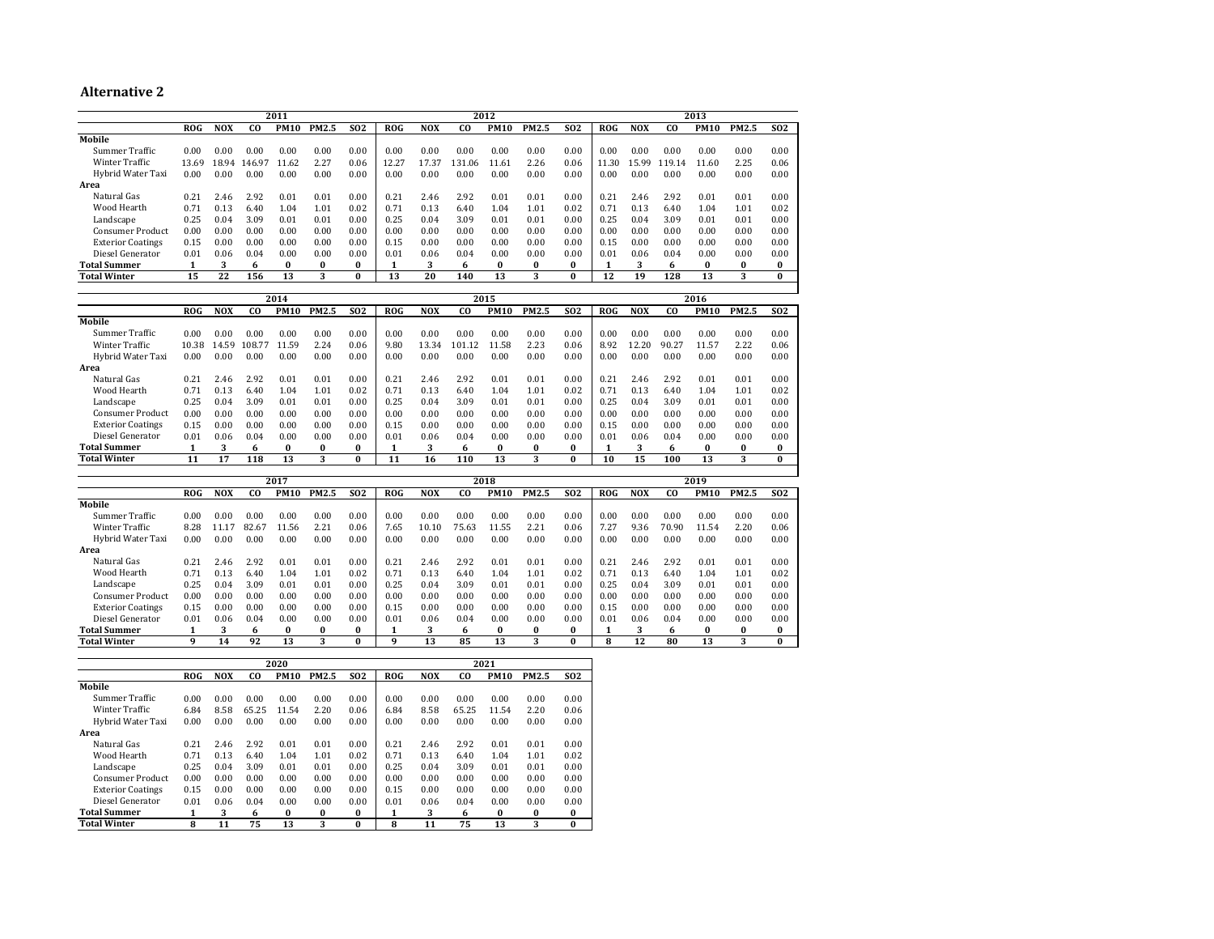|                          |              |            |                | 2011        |              |            |                 |            |           | 2012            |          |            |            |            |                | 2013        |          |            |
|--------------------------|--------------|------------|----------------|-------------|--------------|------------|-----------------|------------|-----------|-----------------|----------|------------|------------|------------|----------------|-------------|----------|------------|
|                          | <b>ROG</b>   | <b>NOX</b> | C <sub>0</sub> | <b>PM10</b> | <b>PM2.5</b> | <b>SO2</b> | <b>ROG</b>      | <b>NOX</b> | CO.       | <b>PM10</b>     | PM2.5    | <b>SO2</b> | <b>ROG</b> | <b>NOX</b> | C <sub>O</sub> | <b>PM10</b> | PM2.5    | <b>SO2</b> |
| Mobile                   |              |            |                |             |              |            |                 |            |           |                 |          |            |            |            |                |             |          |            |
| Summer Traffic           | 0.00         | 0.00       | 0.00           | 0.00        | 0.00         | 0.00       | 0.00            | 0.00       | 0.00      | 0.00            | 0.00     | 0.00       | 0.00       | 0.00       | 0.00           | 0.00        | 0.00     | 0.00       |
| <b>Winter Traffic</b>    | 13.69        | 18.94      | 146.97         | 11.62       | 2.27         | 0.06       | 12.27           | 17.37      | 131.06    | 11.61           | 2.26     | 0.06       | 11.30      | 15.99      | 119.14         | 11.60       | 2.25     | 0.06       |
| Hybrid Water Taxi        | 0.00         | 0.00       | 0.00           | 0.00        | 0.00         | 0.00       | 0.00            | 0.00       | 0.00      | 0.00            | 0.00     | 0.00       | 0.00       | 0.00       | 0.00           | 0.00        | 0.00     | 0.00       |
| Area                     |              |            |                |             |              |            |                 |            |           |                 |          |            |            |            |                |             |          |            |
| Natural Gas              | 0.21         | 2.46       | 2.92           | 0.01        | 0.01         | 0.00       | 0.21            | 2.46       | 2.92      | 0.01            | 0.01     | 0.00       | 0.21       | 2.46       | 2.92           | 0.01        | 0.01     | 0.00       |
| Wood Hearth              | 0.71         | 0.13       | 6.40           | 1.04        | 1.01         | 0.02       | 0.71            | 0.13       | 6.40      | 1.04            | 1.01     | 0.02       | 0.71       | 0.13       | 6.40           | 1.04        | 1.01     | 0.02       |
| Landscape                | 0.25         | 0.04       | 3.09           | 0.01        | 0.01         | 0.00       | 0.25            | 0.04       | 3.09      | 0.01            | 0.01     | 0.00       | 0.25       | 0.04       | 3.09           | 0.01        | 0.01     | 0.00       |
| <b>Consumer Product</b>  | 0.00         | 0.00       | 0.00           | 0.00        | 0.00         | 0.00       | 0.00            | 0.00       | 0.00      | 0.00            | 0.00     | 0.00       | 0.00       | 0.00       | 0.00           | 0.00        | 0.00     | 0.00       |
| <b>Exterior Coatings</b> | 0.15         | 0.00       | 0.00           | 0.00        | 0.00         | 0.00       | 0.15            | 0.00       | 0.00      | 0.00            | 0.00     | 0.00       | 0.15       | 0.00       | 0.00           | 0.00        | 0.00     | 0.00       |
| Diesel Generator         | 0.01         | 0.06       | 0.04           | 0.00        | 0.00         | 0.00       | 0.01            | 0.06       | 0.04      | 0.00            | 0.00     | 0.00       | 0.01       | 0.06       | 0.04           | 0.00        | 0.00     | 0.00       |
| <b>Total Summer</b>      | 1            | 3          | 6              | $\bf{0}$    | $\bf{0}$     | 0          | 1               | 3          | 6         | $\bf{0}$        | 0        | $\bf{0}$   | 1          | 3          | 6              | $\bf{0}$    | 0        | $\bf{0}$   |
| <b>Total Winter</b>      | 15           | 22         | 156            | 13          | 3            | $\bf{0}$   | $\overline{13}$ | 20         | 140       | $\overline{13}$ | 3        | $\bf{0}$   | 12         | 19         | 128            | 13          | 3        | $\bf{0}$   |
|                          |              |            |                |             |              |            |                 |            |           |                 |          |            |            |            |                |             |          |            |
|                          |              |            |                | 2014        |              |            |                 |            |           | 2015            |          |            |            |            |                | 2016        |          |            |
|                          | <b>ROG</b>   | <b>NOX</b> | C <sub>0</sub> | <b>PM10</b> | PM2.5        | <b>SO2</b> | <b>ROG</b>      | <b>NOX</b> | <b>CO</b> | <b>PM10</b>     | PM2.5    | <b>SO2</b> | <b>ROG</b> | <b>NOX</b> | co             | <b>PM10</b> | PM2.5    | <b>SO2</b> |
| Mobile                   |              |            |                |             |              |            |                 |            |           |                 |          |            |            |            |                |             |          |            |
| Summer Traffic           | 0.00         | 0.00       | 0.00           | 0.00        | 0.00         | 0.00       | 0.00            | 0.00       | 0.00      | 0.00            | 0.00     | 0.00       | 0.00       | 0.00       | 0.00           | 0.00        | 0.00     | 0.00       |
| <b>Winter Traffic</b>    | 10.38        | 14.59      | 108.77         | 11.59       | 2.24         | 0.06       | 9.80            | 13.34      | 101.12    | 11.58           | 2.23     | 0.06       | 8.92       | 12.20      | 90.27          | 11.57       | 2.22     | 0.06       |
| Hybrid Water Taxi        | 0.00         | 0.00       | 0.00           | 0.00        | 0.00         | 0.00       | 0.00            | 0.00       | 0.00      | 0.00            | 0.00     | 0.00       | 0.00       | 0.00       | 0.00           | 0.00        | 0.00     | 0.00       |
| Area                     |              |            |                |             |              |            |                 |            |           |                 |          |            |            |            |                |             |          |            |
| Natural Gas              | 0.21         | 2.46       | 2.92           | 0.01        | 0.01         | 0.00       | 0.21            | 2.46       | 2.92      | 0.01            | 0.01     | 0.00       | 0.21       | 2.46       | 2.92           | 0.01        | 0.01     | 0.00       |
| Wood Hearth              | 0.71         | 0.13       | 6.40           | 1.04        | 1.01         | 0.02       | 0.71            | 0.13       | 6.40      | 1.04            | 1.01     | 0.02       | 0.71       | 0.13       | 6.40           | 1.04        | 1.01     | 0.02       |
| Landscape                | 0.25         | 0.04       | 3.09           | 0.01        | 0.01         | 0.00       | 0.25            | 0.04       | 3.09      | 0.01            | 0.01     | 0.00       | 0.25       | 0.04       | 3.09           | 0.01        | 0.01     | 0.00       |
| <b>Consumer Product</b>  | 0.00         | 0.00       | 0.00           | 0.00        | 0.00         | 0.00       | 0.00            | 0.00       | 0.00      | 0.00            | 0.00     | 0.00       | 0.00       | 0.00       | 0.00           | 0.00        | 0.00     | 0.00       |
| <b>Exterior Coatings</b> | 0.15         | 0.00       | 0.00           | 0.00        | 0.00         | 0.00       | 0.15            | 0.00       | 0.00      | 0.00            | 0.00     | 0.00       | 0.15       | 0.00       | 0.00           | 0.00        | 0.00     | 0.00       |
| Diesel Generator         | 0.01         | 0.06       | 0.04           | 0.00        | 0.00         | 0.00       | 0.01            | 0.06       | 0.04      | 0.00            | 0.00     | 0.00       | 0.01       | 0.06       | 0.04           | 0.00        | 0.00     | 0.00       |
| <b>Total Summer</b>      | $\mathbf{1}$ | 3          | 6              | $\bf{0}$    | $\bf{0}$     | 0          | 1               | 3          | 6         | $\bf{0}$        | $\bf{0}$ | $\bf{0}$   | 1          | 3          | 6              | $\bf{0}$    | $\bf{0}$ | $\bf{0}$   |
| <b>Total Winter</b>      | 11           | 17         | 118            | 13          | 3            | $\bf{0}$   | 11              | 16         | 110       | 13              | 3        | $\Omega$   | 10         | 15         | 100            | 13          | 3        | $\bf{0}$   |
|                          |              |            |                | 2017        |              |            |                 |            |           | 2018            |          |            |            |            |                | 2019        |          |            |
|                          | <b>ROG</b>   | <b>NOX</b> | <b>CO</b>      | <b>PM10</b> | PM2.5        | <b>SO2</b> | <b>ROG</b>      | <b>NOX</b> | co        | <b>PM10</b>     | PM2.5    | <b>SO2</b> | <b>ROG</b> | <b>NOX</b> | co             | <b>PM10</b> | PM2.5    | <b>SO2</b> |
| Mobile                   |              |            |                |             |              |            |                 |            |           |                 |          |            |            |            |                |             |          |            |
| Summer Traffic           | 0.00         | 0.00       | 0.00           | 0.00        | 0.00         | 0.00       | 0.00            | 0.00       | 0.00      | 0.00            | 0.00     | 0.00       | 0.00       | 0.00       | 0.00           | 0.00        | 0.00     | 0.00       |
| <b>Winter Traffic</b>    | 8.28         | 11.17      | 82.67          | 11.56       | 2.21         | 0.06       | 7.65            | 10.10      | 75.63     | 11.55           | 2.21     | 0.06       | 7.27       | 9.36       | 70.90          | 11.54       | 2.20     | 0.06       |
| Hybrid Water Taxi        | 0.00         | 0.00       | 0.00           | 0.00        | 0.00         | 0.00       | 0.00            | 0.00       | 0.00      | 0.00            | 0.00     | 0.00       | 0.00       | 0.00       | 0.00           | 0.00        | 0.00     | 0.00       |
| Area                     |              |            |                |             |              |            |                 |            |           |                 |          |            |            |            |                |             |          |            |
| Natural Gas              | 0.21         | 2.46       | 2.92           | 0.01        | 0.01         | 0.00       | 0.21            | 2.46       | 2.92      | 0.01            | 0.01     | 0.00       | 0.21       | 2.46       | 2.92           | 0.01        | 0.01     | 0.00       |
| Wood Hearth              | 0.71         | 0.13       | 6.40           | 1.04        | 1.01         | 0.02       | 0.71            | 0.13       | 6.40      | 1.04            | 1.01     | 0.02       | 0.71       | 0.13       | 6.40           | 1.04        | 1.01     | 0.02       |
| Landscape                | 0.25         | 0.04       | 3.09           | 0.01        | 0.01         | 0.00       | 0.25            | 0.04       | 3.09      | 0.01            | 0.01     | 0.00       | 0.25       | 0.04       | 3.09           | 0.01        | 0.01     | 0.00       |
| <b>Consumer Product</b>  | 0.00         | 0.00       | 0.00           | 0.00        | 0.00         | 0.00       | 0.00            | 0.00       | 0.00      | 0.00            | 0.00     | 0.00       | 0.00       | 0.00       | 0.00           | 0.00        | 0.00     | 0.00       |
| <b>Exterior Coatings</b> | 0.15         | 0.00       | 0.00           | 0.00        | 0.00         | 0.00       | 0.15            | 0.00       | 0.00      | 0.00            | 0.00     | 0.00       | 0.15       | 0.00       | 0.00           | 0.00        | 0.00     | 0.00       |
| Diesel Generator         | 0.01         | 0.06       | 0.04           | 0.00        | 0.00         | 0.00       | 0.01            | 0.06       | 0.04      | 0.00            | 0.00     | 0.00       | 0.01       | 0.06       | 0.04           | 0.00        | 0.00     | 0.00       |
| <b>Total Summer</b>      | 1            | 3          | 6              | $\bf{0}$    | $\bf{0}$     | $\bf{0}$   | $\mathbf{1}$    | 3          | 6         | $\bf{0}$        | $\bf{0}$ | $\bf{0}$   | 1          | 3          | 6              | 0           | 0        | $\bf{0}$   |
| <b>Total Winter</b>      | q            | 14         | 92             | 13          | 3            | $\bf{0}$   | q               | 13         | 85        | 13              | 3        | $\bf{0}$   | 8          | 12         | 80             | 13          | 3        | $\bf{0}$   |

|                          |            |            |       | 2020        |       |            |            |            |       | 2021        |              |            |
|--------------------------|------------|------------|-------|-------------|-------|------------|------------|------------|-------|-------------|--------------|------------|
|                          | <b>ROG</b> | <b>NOX</b> | CO.   | <b>PM10</b> | PM2.5 | <b>SO2</b> | <b>ROG</b> | <b>NOX</b> | CO.   | <b>PM10</b> | <b>PM2.5</b> | <b>SO2</b> |
| Mobile                   |            |            |       |             |       |            |            |            |       |             |              |            |
| Summer Traffic           | 0.00       | 0.00       | 0.00  | 0.00        | 0.00  | 0.00       | 0.00       | 0.00       | 0.00  | 0.00        | 0.00         | 0.00       |
| Winter Traffic           | 6.84       | 8.58       | 65.25 | 11.54       | 2.20  | 0.06       | 6.84       | 8.58       | 65.25 | 11.54       | 2.20         | 0.06       |
| Hybrid Water Taxi        | 0.00       | 0.00       | 0.00  | 0.00        | 0.00  | 0.00       | 0.00       | 0.00       | 0.00  | 0.00        | 0.00         | 0.00       |
| Area                     |            |            |       |             |       |            |            |            |       |             |              |            |
| Natural Gas              | 0.21       | 2.46       | 2.92  | 0.01        | 0.01  | 0.00       | 0.21       | 2.46       | 2.92  | 0.01        | 0.01         | 0.00       |
| Wood Hearth              | 0.71       | 0.13       | 6.40  | 1.04        | 1.01  | 0.02       | 0.71       | 0.13       | 6.40  | 1.04        | 1.01         | 0.02       |
| Landscape                | 0.25       | 0.04       | 3.09  | 0.01        | 0.01  | 0.00       | 0.25       | 0.04       | 3.09  | 0.01        | 0.01         | 0.00       |
| Consumer Product         | 0.00       | 0.00       | 0.00  | 0.00        | 0.00  | 0.00       | 0.00       | 0.00       | 0.00  | 0.00        | 0.00         | 0.00       |
| <b>Exterior Coatings</b> | 0.15       | 0.00       | 0.00  | 0.00        | 0.00  | 0.00       | 0.15       | 0.00       | 0.00  | 0.00        | 0.00         | 0.00       |
| Diesel Generator         | 0.01       | 0.06       | 0.04  | 0.00        | 0.00  | 0.00       | 0.01       | 0.06       | 0.04  | 0.00        | 0.00         | 0.00       |
| <b>Total Summer</b>      | 1          | 3          | 6     | $\bf{0}$    | 0     | 0          | 1          | 3          | 6     | $\bf{0}$    | $\bf{0}$     | 0          |
| <b>Total Winter</b>      | 8          | 11         | 75    | 13          | 3     | $\bf{0}$   | 8          | 11         | 75    | 13          | 3            | $\bf{0}$   |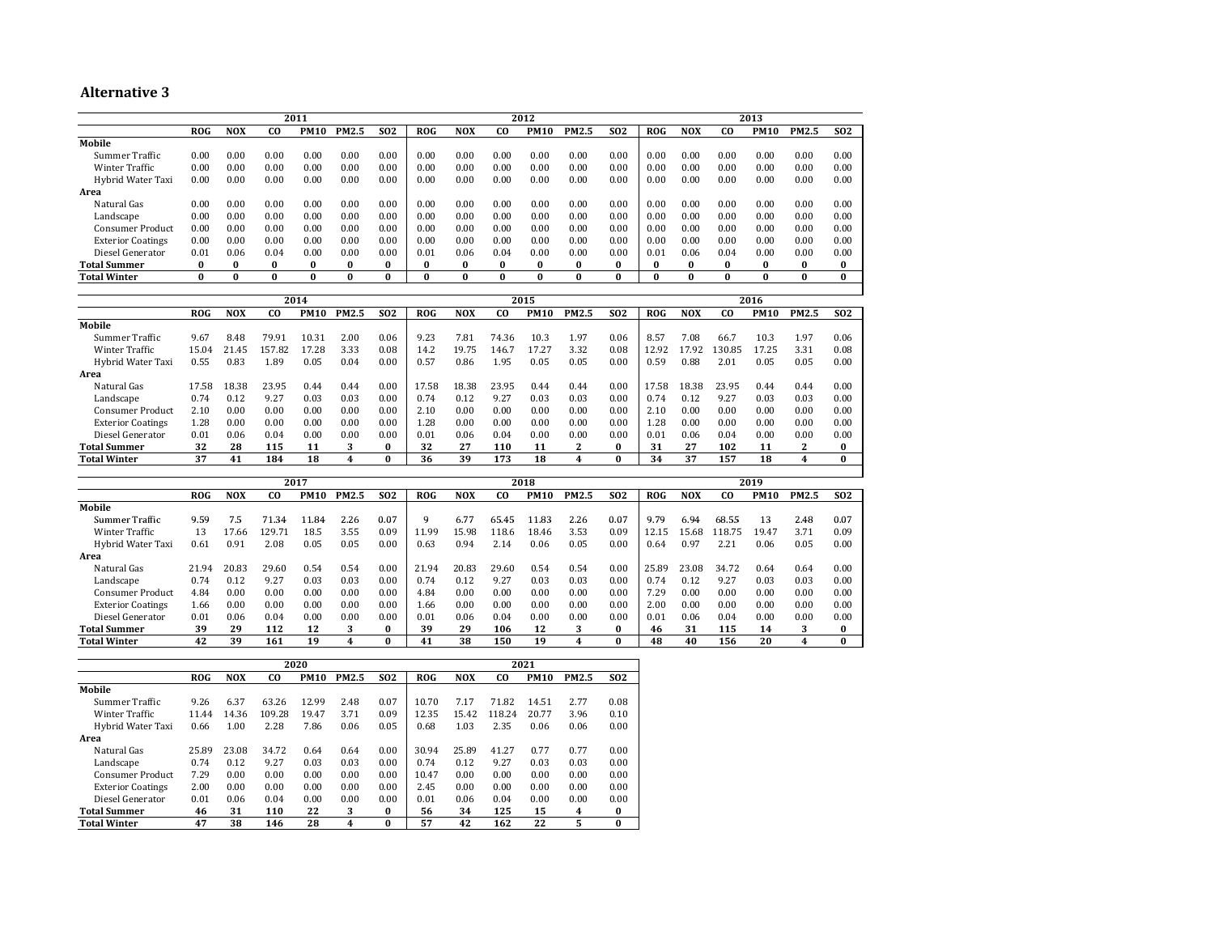|                          |            |            |          | 2011        |              |            |            |            |                | 2012        |          |            |            |            |          | 2013        |              |            |
|--------------------------|------------|------------|----------|-------------|--------------|------------|------------|------------|----------------|-------------|----------|------------|------------|------------|----------|-------------|--------------|------------|
|                          | <b>ROG</b> | <b>NOX</b> | CO.      | <b>PM10</b> | <b>PM2.5</b> | <b>SO2</b> | <b>ROG</b> | <b>NOX</b> | CO.            | <b>PM10</b> | PM2.5    | <b>SO2</b> | <b>ROG</b> | <b>NOX</b> | CO.      | <b>PM10</b> | <b>PM2.5</b> | <b>SO2</b> |
| Mobile                   |            |            |          |             |              |            |            |            |                |             |          |            |            |            |          |             |              |            |
| Summer Traffic           | 0.00       | 0.00       | 0.00     | 0.00        | 0.00         | 0.00       | 0.00       | 0.00       | 0.00           | 0.00        | 0.00     | 0.00       | 0.00       | 0.00       | 0.00     | 0.00        | 0.00         | 0.00       |
| <b>Winter Traffic</b>    | 0.00       | 0.00       | 0.00     | 0.00        | 0.00         | 0.00       | 0.00       | 0.00       | 0.00           | 0.00        | 0.00     | 0.00       | 0.00       | 0.00       | 0.00     | 0.00        | 0.00         | 0.00       |
| Hybrid Water Taxi        | 0.00       | 0.00       | 0.00     | 0.00        | 0.00         | 0.00       | 0.00       | 0.00       | 0.00           | 0.00        | 0.00     | 0.00       | 0.00       | 0.00       | 0.00     | 0.00        | 0.00         | 0.00       |
| Area                     |            |            |          |             |              |            |            |            |                |             |          |            |            |            |          |             |              |            |
| Natural Gas              | 0.00       | 0.00       | 0.00     | 0.00        | 0.00         | 0.00       | 0.00       | 0.00       | 0.00           | 0.00        | 0.00     | 0.00       | 0.00       | 0.00       | 0.00     | 0.00        | 0.00         | 0.00       |
| Landscape                | 0.00       | 0.00       | 0.00     | 0.00        | 0.00         | 0.00       | 0.00       | 0.00       | 0.00           | 0.00        | 0.00     | 0.00       | 0.00       | 0.00       | 0.00     | 0.00        | 0.00         | 0.00       |
| Consumer Product         | 0.00       | 0.00       | 0.00     | 0.00        | 0.00         | 0.00       | 0.00       | 0.00       | 0.00           | 0.00        | 0.00     | 0.00       | 0.00       | 0.00       | 0.00     | 0.00        | 0.00         | 0.00       |
| <b>Exterior Coatings</b> | 0.00       | 0.00       | 0.00     | 0.00        | 0.00         | 0.00       | 0.00       | 0.00       | 0.00           | 0.00        | 0.00     | 0.00       | 0.00       | 0.00       | 0.00     | 0.00        | 0.00         | 0.00       |
| Diesel Generator         | 0.01       | 0.06       | 0.04     | 0.00        | 0.00         | 0.00       | 0.01       | 0.06       | 0.04           | 0.00        | 0.00     | 0.00       | 0.01       | 0.06       | 0.04     | 0.00        | 0.00         | 0.00       |
| <b>Total Summer</b>      | 0          | $\bf{0}$   | 0        | 0           | 0            | 0          | $\bf{0}$   | 0          | $\bf{0}$       | $\bf{0}$    | 0        | 0          |            | $\bf{0}$   | $\bf{0}$ | 0           | $\bf{0}$     | $\bf{0}$   |
| <b>Total Winter</b>      | $\bf{0}$   | $\bf{0}$   | $\bf{0}$ | $\bf{0}$    | 0            | 0          | 0          | $\bf{0}$   | $\bf{0}$       | $\bf{0}$    | $\bf{0}$ | 0          | 0          | $\bf{0}$   | $\bf{0}$ | 0           | $\bf{0}$     | $\bf{0}$   |
|                          |            |            |          | 2014        |              |            |            |            |                | 2015        |          |            |            |            |          | 2016        |              |            |
|                          | <b>ROG</b> | <b>NOX</b> | CO.      | <b>PM10</b> | PM2.5        | <b>SO2</b> | <b>ROG</b> | <b>NOX</b> | C <sub>0</sub> | <b>PM10</b> | PM2.5    | <b>SO2</b> | <b>ROG</b> | <b>NOX</b> | CO.      | <b>PM10</b> | <b>PM2.5</b> | <b>SO2</b> |
| Mobile                   |            |            |          |             |              |            |            |            |                |             |          |            |            |            |          |             |              |            |
| Summer Traffic           | 9.67       | 8.48       | 79.91    | 10.31       | 2.00         | 0.06       | 9.23       | 7.81       | 74.36          | 10.3        | 1.97     | 0.06       | 8.57       | 7.08       | 66.7     | 10.3        | 1.97         | 0.06       |
| <b>Winter Traffic</b>    | 15.04      | 21.45      | 157.82   | 17.28       | 3.33         | 0.08       | 14.2       | 19.75      | 146.7          | 17.27       | 3.32     | 0.08       | 12.92      | 17.92      | 130.85   | 17.25       | 3.31         | 0.08       |
| Hybrid Water Taxi        | 0.55       | 0.83       | 1.89     | 0.05        | 0.04         | 0.00       | 0.57       | 0.86       | 1.95           | 0.05        | 0.05     | 0.00       | 0.59       | 0.88       | 2.01     | 0.05        | 0.05         | 0.00       |
| Area                     |            |            |          |             |              |            |            |            |                |             |          |            |            |            |          |             |              |            |
| Natural Gas              | 17.58      | 18.38      | 23.95    | 0.44        | 0.44         | 0.00       | 17.58      | 18.38      | 23.95          | 0.44        | 0.44     | 0.00       | 17.58      | 18.38      | 23.95    | 0.44        | 0.44         | 0.00       |

| <b>Total Winter</b>      | 27   |      | 184  | 18   |      |      | 36   | 39   | 173         | 18   |      |      | 34   | 3.        | 15   | 18   |      | 0    |
|--------------------------|------|------|------|------|------|------|------|------|-------------|------|------|------|------|-----------|------|------|------|------|
| <b>Total Summer</b>      | 32   | 28   | 115  |      |      |      | 32   | 27   | 110         |      |      |      |      |           | 102  |      |      |      |
| Diesel Generator         | 0.01 | 0.06 | 0.04 | 0.00 | 0.00 | 0.00 | 0.01 | 0.06 | 0.04        | 0.00 | 0.00 | 0.00 | 0.01 | 0.06      | 0.04 | 0.00 | 0.00 | 0.00 |
| <b>Exterior Coatings</b> | 1.28 | 0.00 | 0.00 | 0.00 | 0.00 | 0.00 | .28  | 0.00 | 0.00        | 0.00 | 0.00 | 0.00 | .28  | 0.00      | 0.00 | 0.00 | 0.00 | 0.00 |
| <b>Consumer Product</b>  | 2.10 | 0.00 | 0.00 | 0.00 | 0.00 | 0.00 | 2.10 | 0.00 | 0.00        | 0.00 | 0.00 | 0.00 | 2.10 | 0.00      | 0.00 | 0.00 | 0.00 | 0.00 |
| Landscape                | 0.74 | 0.12 | 9.27 | 0.03 | 0.03 | 0.00 |      | 0.12 | Q 27<br>7.4 | 0.03 | 0.03 | 0.00 | 0.74 | $_{0.12}$ | 9.27 | 0.03 | 0.03 | 0.00 |
|                          |      |      |      |      |      |      |      |      |             |      |      |      |      |           |      |      |      |      |

|                          |       |            |       | 2017        |              |            |            |            |       | 2018        |       |            |            |            |       | 2019        |              |            |
|--------------------------|-------|------------|-------|-------------|--------------|------------|------------|------------|-------|-------------|-------|------------|------------|------------|-------|-------------|--------------|------------|
|                          | ROG   | <b>NOX</b> | CO.   | <b>PM10</b> | <b>PM2.5</b> | <b>SO2</b> | <b>ROG</b> | <b>NOX</b> | CO.   | <b>PM10</b> | PM2.5 | <b>SO2</b> | <b>ROG</b> | <b>NOX</b> | CO.   | <b>PM10</b> | <b>PM2.5</b> | <b>SO2</b> |
| Mobile                   |       |            |       |             |              |            |            |            |       |             |       |            |            |            |       |             |              |            |
| Summer Traffic           | 9.59  | 7.5        | 71.34 | 11.84       | 2.26         | 0.07       | 9          | 6.77       | 65.45 | 11.83       | 2.26  | 0.07       | 9.79       | 6.94       | 68.55 | 13          | 2.48         | 0.07       |
| <b>Winter Traffic</b>    | 13    | 7.66       | .29.7 | 18.5        | 3.55         | 0.09       | 11.99      | 15.98      | 118.6 | 18.46       | 3.53  | 0.09       | 12.15      | 15.68      | 18.75 | 19.47       | 3.71         | 0.09       |
| Hybrid Water Taxi        | 0.61  | 0.91       | 2.08  | 0.05        | 0.05         | 0.00       | 0.63       | 0.94       | 2.14  | 0.06        | 0.05  | 0.00       | 0.64       | 0.97       | 2.21  | 0.06        | 0.05         | 0.00       |
| Area                     |       |            |       |             |              |            |            |            |       |             |       |            |            |            |       |             |              |            |
| Natural Gas              | 21.94 | 20.83      | 29.60 | 0.54        | 0.54         | 0.00       | 21.94      | 20.83      | 29.60 | 0.54        | 0.54  | 0.00       | 25.89      | 23.08      | 34.72 | 0.64        | 0.64         | 0.00       |
| Landscape                | 0.74  | 0.12       | 9.27  | 0.03        | 0.03         | 0.00       | 0.74       | 0.12       | 9.27  | 0.03        | 0.03  | 0.00       | 0.74       | 0.12       | 9.27  | 0.03        | 0.03         | 0.00       |
| Consumer Product         | 4.84  | 0.00       | 0.00  | 0.00        | 0.00         | 0.00       | 4.84       | 0.00       | 0.00  | 0.00        | 0.00  | 0.00       | 7.29       | 0.00       | 0.00  | 0.00        | 0.00         | 0.00       |
| <b>Exterior Coatings</b> | 1.66  | 0.00       | 0.00  | 0.00        | 0.00         | 0.00       | 1.66       | 0.00       | 0.00  | 0.00        | 0.00  | 0.00       | 2.00       | 0.00       | 0.00  | 0.00        | 0.00         | 0.00       |
| Diesel Generator         | 0.01  | 0.06       | 0.04  | 0.00        | 0.00         | 0.00       | 0.01       | 0.06       | 0.04  | 0.00        | 0.00  | 0.00       | 0.01       | 0.06       | 0.04  | 0.00        | 0.00         | 0.00       |
| <b>Total Summer</b>      | 39    | 29         | 112   | 12          | 3            | $\bf{0}$   | 39         | 29         | 106   | 12          | 3     | $\bf{0}$   | 46         | 31         | 115   | 14          |              | $\bf{0}$   |
| <b>Total Winter</b>      | 42    | 39         | 161   | 19          | 4            | $\bf{0}$   | 41         | 38         | 150   | 19          | 4     | $\bf{0}$   | 48         | 40         | 156   | 20          | 4            | 0          |

|                          |            |            |        | 2020        |              |            |            |            |        | 2021        |              |            |
|--------------------------|------------|------------|--------|-------------|--------------|------------|------------|------------|--------|-------------|--------------|------------|
|                          | <b>ROG</b> | <b>NOX</b> | CO.    | <b>PM10</b> | <b>PM2.5</b> | <b>SO2</b> | <b>ROG</b> | <b>NOX</b> | CO.    | <b>PM10</b> | <b>PM2.5</b> | <b>SO2</b> |
| Mobile                   |            |            |        |             |              |            |            |            |        |             |              |            |
| Summer Traffic           | 9.26       | 6.37       | 63.26  | 12.99       | 2.48         | 0.07       | 10.70      | 7.17       | 71.82  | 14.51       | 2.77         | 0.08       |
| Winter Traffic           | 11.44      | 14.36      | 109.28 | 19.47       | 3.71         | 0.09       | 12.35      | 15.42      | 118.24 | 20.77       | 3.96         | 0.10       |
| Hybrid Water Taxi        | 0.66       | 1.00       | 2.28   | 7.86        | 0.06         | 0.05       | 0.68       | 1.03       | 2.35   | 0.06        | 0.06         | 0.00       |
| Area                     |            |            |        |             |              |            |            |            |        |             |              |            |
| Natural Gas              | 25.89      | 23.08      | 34.72  | 0.64        | 0.64         | 0.00       | 30.94      | 25.89      | 41.27  | 0.77        | 0.77         | 0.00       |
| Landscape                | 0.74       | 0.12       | 9.27   | 0.03        | 0.03         | 0.00       | 0.74       | 0.12       | 9.27   | 0.03        | 0.03         | 0.00       |
| Consumer Product         | 7.29       | 0.00       | 0.00   | 0.00        | 0.00         | 0.00       | 10.47      | 0.00       | 0.00   | 0.00        | 0.00         | 0.00       |
| <b>Exterior Coatings</b> | 2.00       | 0.00       | 0.00   | 0.00        | 0.00         | 0.00       | 2.45       | 0.00       | 0.00   | 0.00        | 0.00         | 0.00       |
| Diesel Generator         | 0.01       | 0.06       | 0.04   | 0.00        | 0.00         | 0.00       | 0.01       | 0.06       | 0.04   | 0.00        | 0.00         | 0.00       |
| <b>Total Summer</b>      | 46         | 31         | 110    | 22          | 3            | $\bf{0}$   | 56         | 34         | 125    | 15          | 4            | 0          |
| <b>Total Winter</b>      | 47         | 38         | 146    | 28          | 4            | $\bf{0}$   | 57         | 42         | 162    | 22          | 5            | 0          |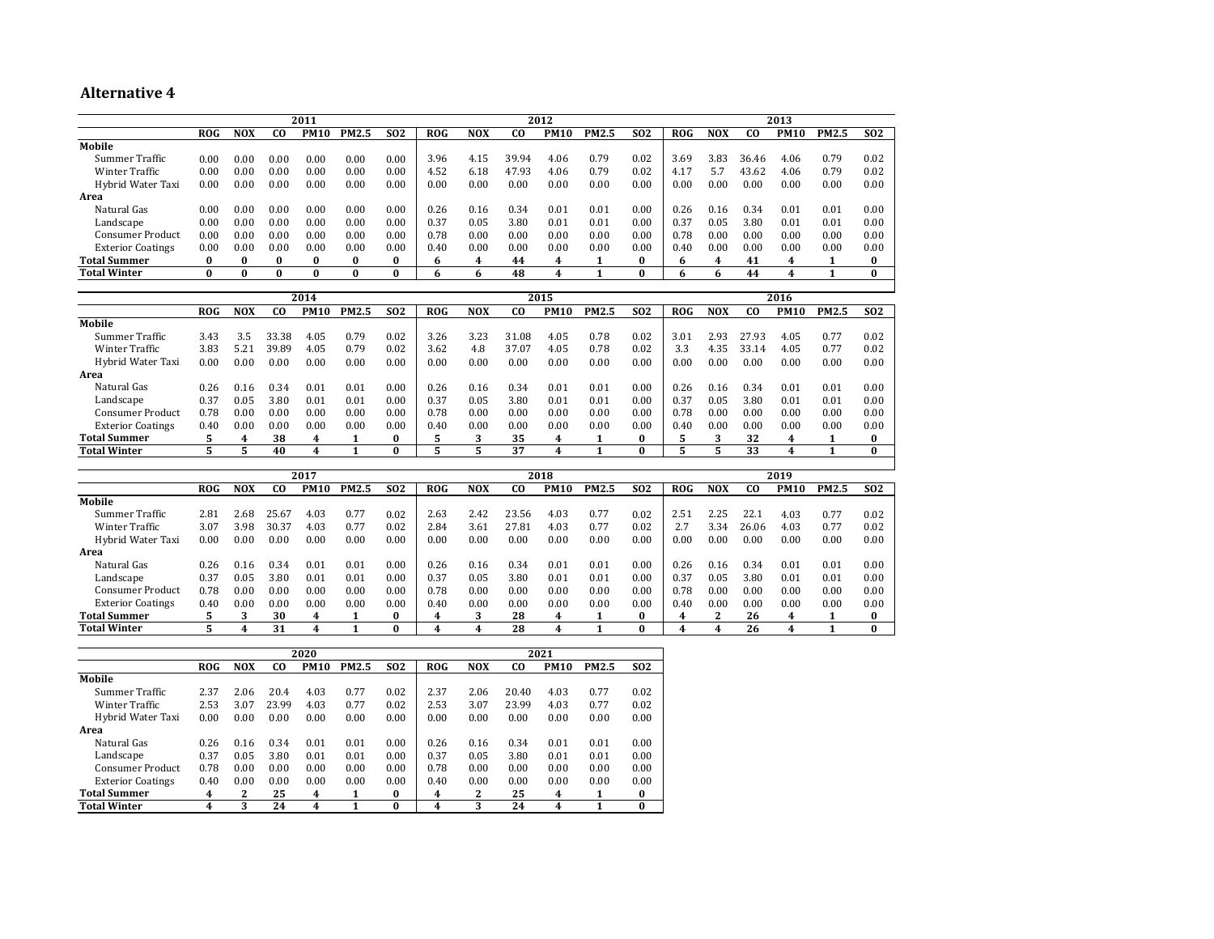|                          |              |              |                | 2011         |                   |               |              |              |                | 2012                    |                   |                      |                              |              |              | 2013         |                   |               |
|--------------------------|--------------|--------------|----------------|--------------|-------------------|---------------|--------------|--------------|----------------|-------------------------|-------------------|----------------------|------------------------------|--------------|--------------|--------------|-------------------|---------------|
|                          | <b>ROG</b>   | <b>NOX</b>   | CO             | <b>PM10</b>  | <b>PM2.5</b>      | <b>SO2</b>    | <b>ROG</b>   | <b>NOX</b>   | C <sub>0</sub> | <b>PM10</b>             | PM2.5             | S <sub>02</sub>      | <b>ROG</b>                   | <b>NOX</b>   | co           | <b>PM10</b>  | PM2.5             | <b>SO2</b>    |
| Mobile                   |              |              |                |              |                   |               |              |              |                |                         |                   |                      |                              |              |              |              |                   |               |
| Summer Traffic           | 0.00         | 0.00         | 0.00           | 0.00         | 0.00              | 0.00          | 3.96         | 4.15         | 39.94          | 4.06                    | 0.79              | 0.02                 | 3.69                         | 3.83         | 36.46        | 4.06         | 0.79              | 0.02          |
| <b>Winter Traffic</b>    | 0.00         | 0.00         | 0.00           | 0.00         | 0.00              | 0.00          | 4.52         | 6.18         | 47.93          | 4.06                    | 0.79              | 0.02                 | 4.17                         | 5.7          | 43.62        | 4.06         | 0.79              | 0.02          |
| Hybrid Water Taxi        | 0.00         | 0.00         | 0.00           | 0.00         | 0.00              | 0.00          | 0.00         | 0.00         | 0.00           | 0.00                    | 0.00              | 0.00                 | 0.00                         | 0.00         | 0.00         | 0.00         | 0.00              | 0.00          |
| Area                     |              |              |                |              |                   |               |              |              |                |                         |                   |                      |                              |              |              |              |                   |               |
| Natural Gas              | 0.00         | 0.00         | 0.00           | 0.00         | 0.00              | 0.00          | 0.26         | 0.16         | 0.34           | 0.01                    | 0.01              | 0.00                 | 0.26                         | 0.16         | 0.34         | 0.01         | 0.01              | 0.00          |
| Landscape                | 0.00         | 0.00         | 0.00           | 0.00         | 0.00              | 0.00          | 0.37         | 0.05         | 3.80           | 0.01                    | 0.01              | 0.00                 | 0.37                         | 0.05         | 3.80         | 0.01         | 0.01              | 0.00          |
| <b>Consumer Product</b>  | 0.00         | 0.00         | 0.00           | 0.00         | 0.00              | 0.00          | 0.78         | 0.00         | 0.00           | 0.00                    | 0.00              | 0.00                 | 0.78                         | 0.00         | 0.00         | 0.00         | 0.00              | 0.00          |
| <b>Exterior Coatings</b> | 0.00         | 0.00         | 0.00           | 0.00         | 0.00              | 0.00          | 0.40         | 0.00         | 0.00           | 0.00                    | 0.00              | 0.00                 | 0.40                         | 0.00         | 0.00         | 0.00         | 0.00              | 0.00          |
| <b>Total Summer</b>      | 0            | 0            | 0              | 0            | 0                 | 0             | 6            | 4            | 44             | 4                       | 1                 | $\bf{0}$             | 6                            | 4            | 41           | 4            | 1                 | $\bf{0}$      |
| <b>Total Winter</b>      | $\bf{0}$     | $\bf{0}$     | $\bf{0}$       | $\bf{0}$     | $\bf{0}$          | $\bf{0}$      | 6            | 6            | 48             | $\overline{\mathbf{4}}$ | $\mathbf{1}$      | $\bf{0}$             | 6                            | 6            | 44           | 4            | $\mathbf{1}$      | $\bf{0}$      |
|                          |              |              |                | 2014         |                   |               |              |              |                | 2015                    |                   |                      |                              |              |              | 2016         |                   |               |
|                          | <b>ROG</b>   | <b>NOX</b>   | co             | <b>PM10</b>  | <b>PM2.5</b>      | <b>SO2</b>    | <b>ROG</b>   | <b>NOX</b>   | C <sub>O</sub> | <b>PM10</b>             | PM2.5             | <b>SO2</b>           | <b>ROG</b>                   | <b>NOX</b>   | $_{\rm CO}$  | <b>PM10</b>  | <b>PM2.5</b>      | <b>SO2</b>    |
| Mobile                   |              |              |                |              |                   |               |              |              |                |                         |                   |                      |                              |              |              |              |                   |               |
| Summer Traffic           | 3.43         | 3.5          | 33.38          | 4.05         | 0.79              | 0.02          | 3.26         | 3.23         | 31.08          | 4.05                    | 0.78              | 0.02                 | 3.01                         | 2.93         | 27.93        | 4.05         | 0.77              | 0.02          |
| <b>Winter Traffic</b>    | 3.83         | 5.21         | 39.89          | 4.05         | 0.79              | 0.02          | 3.62         | 4.8          | 37.07          | 4.05                    | 0.78              | 0.02                 | 3.3                          | 4.35         | 33.14        | 4.05         | 0.77              | 0.02          |
| Hybrid Water Taxi        | 0.00         | 0.00         | 0.00           | 0.00         | 0.00              | 0.00          | 0.00         | 0.00         | 0.00           | 0.00                    | 0.00              | 0.00                 | 0.00                         | 0.00         | 0.00         | 0.00         | 0.00              | 0.00          |
| Area                     |              |              |                |              |                   |               |              |              |                |                         |                   |                      |                              |              |              |              |                   |               |
| Natural Gas              | 0.26         | 0.16         | 0.34           | 0.01         | 0.01              | 0.00          | 0.26         | 0.16         | 0.34           | 0.01                    | 0.01              | 0.00                 | 0.26                         | 0.16         | 0.34         | 0.01         | 0.01              | 0.00          |
| Landscape                | 0.37         | 0.05         | 3.80           | 0.01         | 0.01              | 0.00          | 0.37         | 0.05         | 3.80           | 0.01                    | 0.01              | 0.00                 | 0.37                         | 0.05         | 3.80         | 0.01         | 0.01              | 0.00          |
| <b>Consumer Product</b>  | 0.78         | 0.00         | 0.00           | 0.00         | 0.00              | 0.00          | 0.78         | 0.00         | 0.00           | 0.00                    | 0.00              | 0.00                 | 0.78                         | 0.00         | 0.00         | 0.00         | 0.00              | 0.00          |
| <b>Exterior Coatings</b> | 0.40         | 0.00         | 0.00           | 0.00         | 0.00              | 0.00          | 0.40         | 0.00         | 0.00           | 0.00                    | 0.00              | 0.00                 | 0.40                         | 0.00         | 0.00         | 0.00         | 0.00              | 0.00          |
| <b>Total Summer</b>      | 5            | 4            | 38             | 4            | 1                 | $\bf{0}$      | 5            | 3            | 35             | 4                       | 1                 | $\bf{0}$             | 5                            | 3            | 32           | 4            | 1                 | $\bf{0}$      |
| <b>Total Winter</b>      | 5            | 5            | 40             | 4            | $\mathbf{1}$      | 0             | 5            | 5            | 37             | 4                       | $\mathbf{1}$      | $\bf{0}$             | 5                            | 5            | 33           | 4            | $\mathbf{1}$      | $\bf{0}$      |
|                          |              |              |                |              |                   |               |              |              |                |                         |                   |                      |                              |              |              |              |                   |               |
|                          |              |              |                | 2017         |                   |               |              |              |                | 2018                    |                   |                      |                              |              |              | 2019         |                   |               |
|                          | <b>ROG</b>   | NOX          | $\overline{c}$ | PM10         | <b>PM2.5</b>      | <b>SO2</b>    | <b>ROG</b>   | NOX          | $\overline{c}$ | <b>PM10</b>             | <b>PM2.5</b>      | <b>SO2</b>           | <b>ROG</b>                   | NOX          | $_{\rm CO}$  | PM10         | <b>PM2.5</b>      | <b>SO2</b>    |
| <b>Mobile</b>            |              |              |                |              |                   |               |              |              |                |                         |                   |                      |                              |              |              |              |                   |               |
| Summer Traffic           | 2.81         | 2.68         | 25.67          | 4.03         | 0.77              | 0.02          | 2.63<br>2.84 | 2.42         | 23.56          | 4.03                    | 0.77<br>0.77      | 0.02                 | 2.51                         | 2.25         | 22.1         | 4.03         | 0.77              | 0.02          |
| <b>Winter Traffic</b>    | 3.07         | 3.98         | 30.37          | 4.03         | 0.77              | 0.02          |              | 3.61         | 27.81          | 4.03                    |                   | 0.02                 | 2.7                          | 3.34         | 26.06        | 4.03         | 0.77              | 0.02          |
| Hybrid Water Taxi        | 0.00         | 0.00         | 0.00           | 0.00         | 0.00              | 0.00          | 0.00         | 0.00         | 0.00           | 0.00                    | 0.00              | 0.00                 | 0.00                         | 0.00         | 0.00         | 0.00         | 0.00              | 0.00          |
| Area<br>Natural Gas      |              |              |                |              |                   |               |              |              |                |                         |                   |                      |                              |              |              |              |                   |               |
| Landscape                | 0.26         | 0.16<br>0.05 | 0.34<br>3.80   | 0.01<br>0.01 | 0.01<br>0.01      | 0.00<br>0.00  | 0.26<br>0.37 | 0.16<br>0.05 | 0.34<br>3.80   | 0.01<br>0.01            | 0.01<br>0.01      | 0.00<br>0.00         | 0.26<br>0.37                 | 0.16<br>0.05 | 0.34<br>3.80 | 0.01<br>0.01 | 0.01<br>0.01      | 0.00<br>0.00  |
| <b>Consumer Product</b>  | 0.37<br>0.78 | 0.00         | 0.00           | 0.00         | 0.00              | 0.00          | 0.78         | 0.00         | 0.00           | 0.00                    | 0.00              | 0.00                 | 0.78                         | 0.00         | 0.00         | 0.00         | 0.00              | 0.00          |
| <b>Exterior Coatings</b> | 0.40         | 0.00         | 0.00           | 0.00         |                   | 0.00          | 0.40         | 0.00         | 0.00           | 0.00                    | 0.00              |                      |                              | 0.00         | 0.00         | 0.00         | 0.00              | 0.00          |
| <b>Total Summer</b>      |              |              | 30             |              | 0.00              |               |              |              |                |                         |                   | 0.00                 | 0.40                         |              | 26           |              |                   |               |
| <b>Total Winter</b>      | 5<br>5       | 3<br>4       | 31             | 4<br>4       | 1<br>$\mathbf{1}$ | 0<br>$\bf{0}$ | 4<br>4       | 3<br>4       | 28<br>28       | 4<br>4                  | 1<br>$\mathbf{1}$ | $\bf{0}$<br>$\bf{0}$ | 4<br>$\overline{\mathbf{4}}$ | 2<br>4       | 26           | 4<br>4       | 1<br>$\mathbf{1}$ | 0<br>$\bf{0}$ |
|                          |              |              |                |              |                   |               |              |              |                |                         |                   |                      |                              |              |              |              |                   |               |

|                          |            |            |                | 2020        |       |            |            |            |       | 2021        |       |              |
|--------------------------|------------|------------|----------------|-------------|-------|------------|------------|------------|-------|-------------|-------|--------------|
|                          | <b>ROG</b> | <b>NOX</b> | C <sub>0</sub> | <b>PM10</b> | PM2.5 | <b>SO2</b> | <b>ROG</b> | <b>NOX</b> | CO.   | <b>PM10</b> | PM2.5 | <b>SO2</b>   |
| Mobile                   |            |            |                |             |       |            |            |            |       |             |       |              |
| Summer Traffic           | 2.37       | 2.06       | 20.4           | 4.03        | 0.77  | 0.02       | 2.37       | 2.06       | 20.40 | 4.03        | 0.77  | 0.02         |
| Winter Traffic           | 2.53       | 3.07       | 23.99          | 4.03        | 0.77  | 0.02       | 2.53       | 3.07       | 23.99 | 4.03        | 0.77  | 0.02         |
| Hybrid Water Taxi        | 0.00       | 0.00       | 0.00           | 0.00        | 0.00  | 0.00       | 0.00       | 0.00       | 0.00  | 0.00        | 0.00  | 0.00         |
| Area                     |            |            |                |             |       |            |            |            |       |             |       |              |
| Natural Gas              | 0.26       | 0.16       | 0.34           | 0.01        | 0.01  | 0.00       | 0.26       | 0.16       | 0.34  | 0.01        | 0.01  | 0.00         |
| Landscape                | 0.37       | 0.05       | 3.80           | 0.01        | 0.01  | 0.00       | 0.37       | 0.05       | 3.80  | 0.01        | 0.01  | 0.00         |
| <b>Consumer Product</b>  | 0.78       | 0.00       | 0.00           | 0.00        | 0.00  | 0.00       | 0.78       | 0.00       | 0.00  | 0.00        | 0.00  | 0.00         |
| <b>Exterior Coatings</b> | 0.40       | 0.00       | 0.00           | 0.00        | 0.00  | 0.00       | 0.40       | 0.00       | 0.00  | 0.00        | 0.00  | 0.00         |
| <b>Total Summer</b>      | 4          | 2          | 25             | 4           |       | 0          | 4          | 2          | 25    | 4           | 1     | 0            |
| <b>Total Winter</b>      | 4          | 3          | 24             | 4           |       | 0          | 4          | 3          | 24    | 4           | 1     | $\mathbf{0}$ |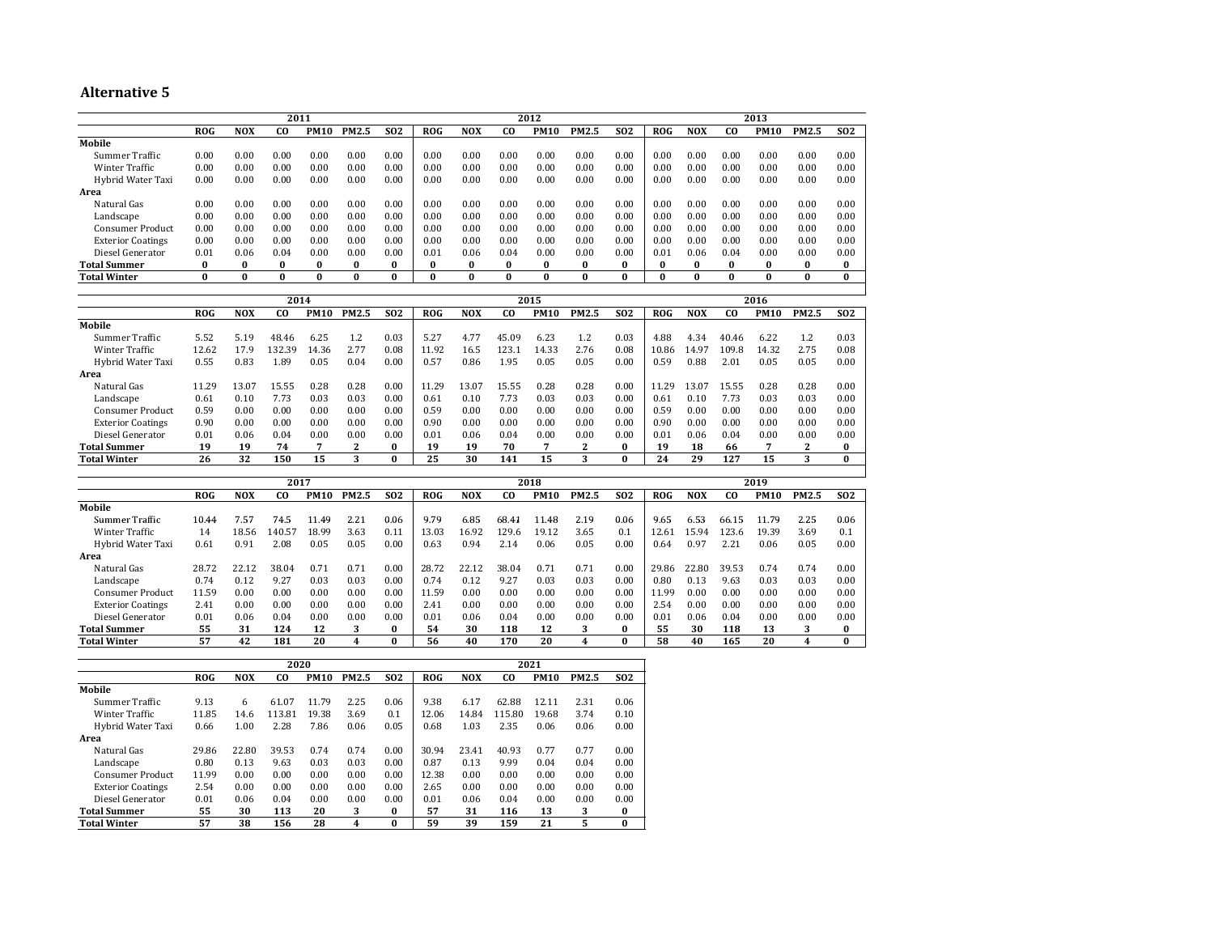|                          | 2011       |            |            |             |              |            | 2012       |            |                |                     |              |                  |              | 2013       |                |                     |              |            |  |
|--------------------------|------------|------------|------------|-------------|--------------|------------|------------|------------|----------------|---------------------|--------------|------------------|--------------|------------|----------------|---------------------|--------------|------------|--|
|                          | <b>ROG</b> | <b>NOX</b> | co         | <b>PM10</b> | PM2.5        | <b>SO2</b> | <b>ROG</b> | <b>NOX</b> | C <sub>0</sub> | <b>PM10</b>         | <b>PM2.5</b> | S <sub>0</sub> 2 | <b>ROG</b>   | <b>NOX</b> | <b>CO</b>      | <b>PM10</b>         | PM2.5        | <b>SO2</b> |  |
| <b>Mobile</b>            |            |            |            |             |              |            |            |            |                |                     |              |                  |              |            |                |                     |              |            |  |
| <b>Summer Traffic</b>    | 0.00       | 0.00       | 0.00       | 0.00        | 0.00         | 0.00       | 0.00       | 0.00       | 0.00           | 0.00                | 0.00         | 0.00             | 0.00         | 0.00       | 0.00           | 0.00                | 0.00         | 0.00       |  |
| <b>Winter Traffic</b>    | 0.00       | 0.00       | 0.00       | 0.00        | 0.00         | 0.00       | 0.00       | 0.00       | 0.00           | 0.00                | 0.00         | 0.00             | 0.00         | 0.00       | 0.00           | 0.00                | 0.00         | 0.00       |  |
| Hybrid Water Taxi        | 0.00       | 0.00       | 0.00       | 0.00        | 0.00         | 0.00       | 0.00       | 0.00       | 0.00           | 0.00                | 0.00         | 0.00             | 0.00         | 0.00       | 0.00           | 0.00                | 0.00         | 0.00       |  |
| Area                     |            |            |            |             |              |            |            |            |                |                     |              |                  |              |            |                |                     |              |            |  |
| Natural Gas              | 0.00       | 0.00       | 0.00       | 0.00        | 0.00         | 0.00       | 0.00       | 0.00       | 0.00           | 0.00                | 0.00         | 0.00             | 0.00         | 0.00       | 0.00           | 0.00                | 0.00         | 0.00       |  |
| Landscape                | 0.00       | 0.00       | 0.00       | 0.00        | 0.00         | 0.00       | 0.00       | 0.00       | 0.00           | 0.00                | 0.00         | 0.00             | 0.00         | 0.00       | 0.00           | 0.00                | 0.00         | 0.00       |  |
| <b>Consumer Product</b>  | 0.00       | 0.00       | 0.00       | 0.00        | 0.00         | 0.00       | 0.00       | 0.00       | 0.00           | 0.00                | 0.00         | 0.00             | 0.00         | 0.00       | 0.00           | 0.00                | 0.00         | 0.00       |  |
| <b>Exterior Coatings</b> | 0.00       | 0.00       | 0.00       | 0.00        | 0.00         | 0.00       | 0.00       | 0.00       | 0.00           | 0.00                | 0.00         | 0.00             | 0.00         | 0.00       | 0.00           | 0.00                | 0.00         | 0.00       |  |
| Diesel Generator         | 0.01       | 0.06       | 0.04       | 0.00        | 0.00         | 0.00       | 0.01       | 0.06       | 0.04           | 0.00                | 0.00         | 0.00             | 0.01         | 0.06       | 0.04           | 0.00                | 0.00         | 0.00       |  |
| <b>Total Summer</b>      | $\bf{0}$   | 0          | $\bf{0}$   | 0           | $\bf{0}$     | 0          | $\bf{0}$   | $\bf{0}$   | 0              | $\bf{0}$            | 0            | 0                | $\bf{0}$     | $\bf{0}$   | 0              | $\bf{0}$            | $\bf{0}$     | 0          |  |
| <b>Total Winter</b>      | $\bf{0}$   | $\bf{0}$   | $\Omega$   | 0           | $\bf{0}$     | 0          | $\bf{0}$   | $\bf{0}$   | 0              | $\bf{0}$            | $\bf{0}$     | $\bf{0}$         | $\mathbf{0}$ | $\bf{0}$   | $\bf{0}$       | $\bf{0}$            | $\bf{0}$     | $\bf{0}$   |  |
|                          |            |            |            |             |              |            |            |            |                |                     |              |                  |              |            |                |                     |              |            |  |
|                          |            |            | 2014       |             |              |            |            |            |                | 2015                |              |                  |              |            |                | 2016                |              |            |  |
|                          | <b>ROG</b> | NOX        | co         | <b>PM10</b> | <b>PM2.5</b> | <b>SO2</b> | <b>ROG</b> | <b>NOX</b> | C <sub>0</sub> | <b>PM10</b>         | <b>PM2.5</b> | S <sub>02</sub>  | <b>ROG</b>   | NOX        | C <sub>0</sub> | <b>PM10</b>         | <b>PM2.5</b> | <b>SO2</b> |  |
| <b>Mobile</b>            |            |            |            |             |              |            |            |            |                |                     |              |                  |              |            |                |                     |              |            |  |
| <b>Summer Traffic</b>    | 5.52       | 5.19       | 48.46      | 6.25        | 1.2          | 0.03       | 5.27       | 4.77       | 45.09          | 6.23                | 1.2          | 0.03             | 4.88         | 4.34       | 40.46          | 6.22                | 1.2          | 0.03       |  |
| <b>Winter Traffic</b>    | 12.62      | 17.9       | 132.39     | 14.36       | 2.77         | 0.08       | 11.92      | 16.5       | 123.1          | 14.33               | 2.76         | 0.08             | 10.86        | 14.97      | 109.8          | 14.32               | 2.75         | 0.08       |  |
| Hybrid Water Taxi        | 0.55       | 0.83       | 1.89       | 0.05        | 0.04         | 0.00       | 0.57       | 0.86       | 1.95           | 0.05                | 0.05         | 0.00             | 0.59         | 0.88       | 2.01           | 0.05                | 0.05         | 0.00       |  |
| Area                     |            |            |            |             |              |            |            |            |                |                     |              |                  |              |            |                |                     |              |            |  |
| Natural Gas              | 11.29      | 13.07      | 15.55      | 0.28        | 0.28         | 0.00       | 11.29      | 13.07      | 15.55          | 0.28                | 0.28         | 0.00             | 11.29        | 13.07      | 15.55          | 0.28                | 0.28         | 0.00       |  |
| Landscape                | 0.61       | 0.10       | 7.73       | 0.03        | 0.03         | 0.00       | 0.61       | 0.10       | 7.73           | 0.03                | 0.03         | 0.00             | 0.61         | 0.10       | 7.73           | 0.03                | 0.03         | 0.00       |  |
| <b>Consumer Product</b>  | 0.59       | 0.00       | 0.00       | 0.00        | 0.00         | 0.00       | 0.59       | 0.00       | 0.00           | 0.00                | 0.00         | 0.00             | 0.59         | 0.00       | 0.00           | 0.00                | 0.00         | 0.00       |  |
| <b>Exterior Coatings</b> | 0.90       | 0.00       | 0.00       | 0.00        | 0.00         | 0.00       | 0.90       | 0.00       | 0.00           | 0.00                | 0.00         | 0.00             | 0.90         | 0.00       | 0.00           | 0.00                | 0.00         | 0.00       |  |
| Diesel Generator         | 0.01       | 0.06       | 0.04       | 0.00        | 0.00         | 0.00       | 0.01       | 0.06       | 0.04           | 0.00                | 0.00         | 0.00             | 0.01         | 0.06       | 0.04           | 0.00                | 0.00         | 0.00       |  |
| <b>Total Summer</b>      | 19         | 19         | 74         | 7           | 2            | 0          | 19         | 19         | 70             | 7                   | 2            | 0                | 19           | 18         | 66             | 7                   | 2            | 0          |  |
| <b>Total Winter</b>      | 26         | 32         | 150        | 15          | 3            | $\bf{0}$   | 25         | 30         | 141            | 15                  | 3            | $\bf{0}$         | 24           | 29         | 127            | 15                  | 3            | $\bf{0}$   |  |
|                          |            |            |            |             |              |            |            |            |                |                     |              |                  |              |            |                |                     |              |            |  |
|                          | <b>ROG</b> | <b>NOX</b> | 2017<br>co | <b>PM10</b> | <b>PM2.5</b> | <b>SO2</b> | <b>ROG</b> | <b>NOX</b> | co             | 2018<br><b>PM10</b> | PM2.5        | S <sub>0</sub> 2 |              | <b>NOX</b> |                | 2019<br><b>PM10</b> | PM2.5        | <b>SO2</b> |  |
| <b>Mobile</b>            |            |            |            |             |              |            |            |            |                |                     |              |                  | <b>ROG</b>   |            | <b>CO</b>      |                     |              |            |  |
| <b>Summer Traffic</b>    | 10.44      | 7.57       | 74.5       | 11.49       | 2.21         | 0.06       | 9.79       | 6.85       | 68.41          | 11.48               | 2.19         | 0.06             | 9.65         | 6.53       | 66.15          | 11.79               | 2.25         | 0.06       |  |
|                          |            |            |            |             |              |            |            |            |                |                     |              |                  |              |            |                |                     |              |            |  |

| <b>Total Winter</b>      | 57    | 42            | 181    | 20    | 4             | 0             | 56    | 40    | 170   | 20    | 4    | 0    | 58            | 40        | 165   | 20    |      | $\bf{0}$ |
|--------------------------|-------|---------------|--------|-------|---------------|---------------|-------|-------|-------|-------|------|------|---------------|-----------|-------|-------|------|----------|
| <b>Total Summer</b>      | 55    | 31            | 124    | 12    |               | $\bf{0}$      | 54    | 30    | 118   | 12    | 3    | 0    | 55            | 30        | 118   | 13    | っ    | $\bf{0}$ |
| Diesel Generator         | 0.01  | 0.06          | 0.04   | 0.00  | 0.00          | 0.00          | 0.01  | 0.06  | 0.04  | 0.00  | 0.00 | 0.00 | 0.01          | 0.06      | 0.04  | 0.00  | 0.00 | 0.00     |
| <b>Exterior Coatings</b> | 2.41  | 0.00          | 0.00   | 0.00  | 0.00          | 0.00          | 2.41  | 0.00  | 0.00  | 0.00  | 0.00 | 0.00 | 2.54          | 0.00      | 0.00  | 0.00  | 0.00 | 0.00     |
| <b>Consumer Product</b>  | 11.59 | 0.00          | 0.00   | 0.00  | 0.00          | 0.00          | 11.59 | 0.00  | 0.00  | 0.00  | 0.00 | 0.00 | 1.99          | $_{0.00}$ | 0.00  | 0.00  | 0.00 | 0.00     |
| Landscape                | 0.74  | 0.12          | 9.27   | 0.03  | 0.03          | 0.00          | 0.74  | 0.12  | 9.27  | 0.03  | 0.03 | 0.00 | 0.80          | 0.13      | 9.63  | 0.03  | 0.03 | 0.00     |
| Natural Gas              | 28.72 | 22.1          | 38.04  | 0.71  | $0.7^{\circ}$ | 0.00          | 28.72 | 22.12 | 38.04 | 0.71  | 0.71 | 0.00 | 29.86         | 22.80     | 39.53 | 0.74  | 0.74 | 0.00     |
| Area                     |       |               |        |       |               |               |       |       |       |       |      |      |               |           |       |       |      |          |
| Hybrid Water Taxi        | 0.61  | $0.9^{\circ}$ | 2.08   | 0.05  | 0.05          | 0.00          | 0.63  | 0.94  | 2.14  | 0.06  | 0.05 | 0.00 | 0.64          | 0.97      | 2.21  | 0.06  | 0.05 | 0.00     |
| Winter Traffic           | 14    | 18.56         | 140.57 | 18.99 | 3.63          | $0.1^{\circ}$ | 13.03 | 16.92 | 29.6  | 19.12 | 3.65 | 0.1  | $2.6^{\circ}$ | 5.94      | 23.6  | 19.39 | 3.69 | 0.1      |
| Summer Traffic           | 10.44 | . .57         | 74.5   | 1.49  | 2.21          | 0.06          | 9.79  | 6.85  | 68.41 | 1.48  | 2.19 | 0.06 | 9.65          | 6.53      | 66.15 | 11.79 | 2.25 | 0.06     |

|                          |            |            | 2020   |             |              | 2021       |            |            |        |             |              |            |  |
|--------------------------|------------|------------|--------|-------------|--------------|------------|------------|------------|--------|-------------|--------------|------------|--|
|                          | <b>ROG</b> | <b>NOX</b> | CO.    | <b>PM10</b> | <b>PM2.5</b> | <b>SO2</b> | <b>ROG</b> | <b>NOX</b> | CO.    | <b>PM10</b> | <b>PM2.5</b> | <b>SO2</b> |  |
| Mobile                   |            |            |        |             |              |            |            |            |        |             |              |            |  |
| Summer Traffic           | 9.13       | 6          | 61.07  | 11.79       | 2.25         | 0.06       | 9.38       | 6.17       | 62.88  | 12.11       | 2.31         | 0.06       |  |
| <b>Winter Traffic</b>    | 11.85      | 14.6       | 113.81 | 19.38       | 3.69         | 0.1        | 12.06      | 14.84      | 115.80 | 19.68       | 3.74         | 0.10       |  |
| Hybrid Water Taxi        | 0.66       | 1.00       | 2.28   | 7.86        | 0.06         | 0.05       | 0.68       | 1.03       | 2.35   | 0.06        | 0.06         | 0.00       |  |
| Area                     |            |            |        |             |              |            |            |            |        |             |              |            |  |
| Natural Gas              | 29.86      | 22.80      | 39.53  | 0.74        | 0.74         | 0.00       | 30.94      | 23.41      | 40.93  | 0.77        | 0.77         | 0.00       |  |
| Landscape                | 0.80       | 0.13       | 9.63   | 0.03        | 0.03         | 0.00       | 0.87       | 0.13       | 9.99   | 0.04        | 0.04         | 0.00       |  |
| <b>Consumer Product</b>  | 11.99      | 0.00       | 0.00   | 0.00        | 0.00         | 0.00       | 12.38      | 0.00       | 0.00   | 0.00        | 0.00         | 0.00       |  |
| <b>Exterior Coatings</b> | 2.54       | 0.00       | 0.00   | 0.00        | 0.00         | 0.00       | 2.65       | 0.00       | 0.00   | 0.00        | 0.00         | 0.00       |  |
| Diesel Generator         | 0.01       | 0.06       | 0.04   | 0.00        | 0.00         | 0.00       | 0.01       | 0.06       | 0.04   | 0.00        | 0.00         | 0.00       |  |
| <b>Total Summer</b>      | 55         | 30         | 113    | 20          | 3            | $\bf{0}$   | 57         | 31         | 116    | 13          | 3            | 0          |  |
| <b>Total Winter</b>      | 57         | 38         | 156    | 28          | 4            | $\bf{0}$   | 59         | 39         | 159    | 21          | 5            | $\bf{0}$   |  |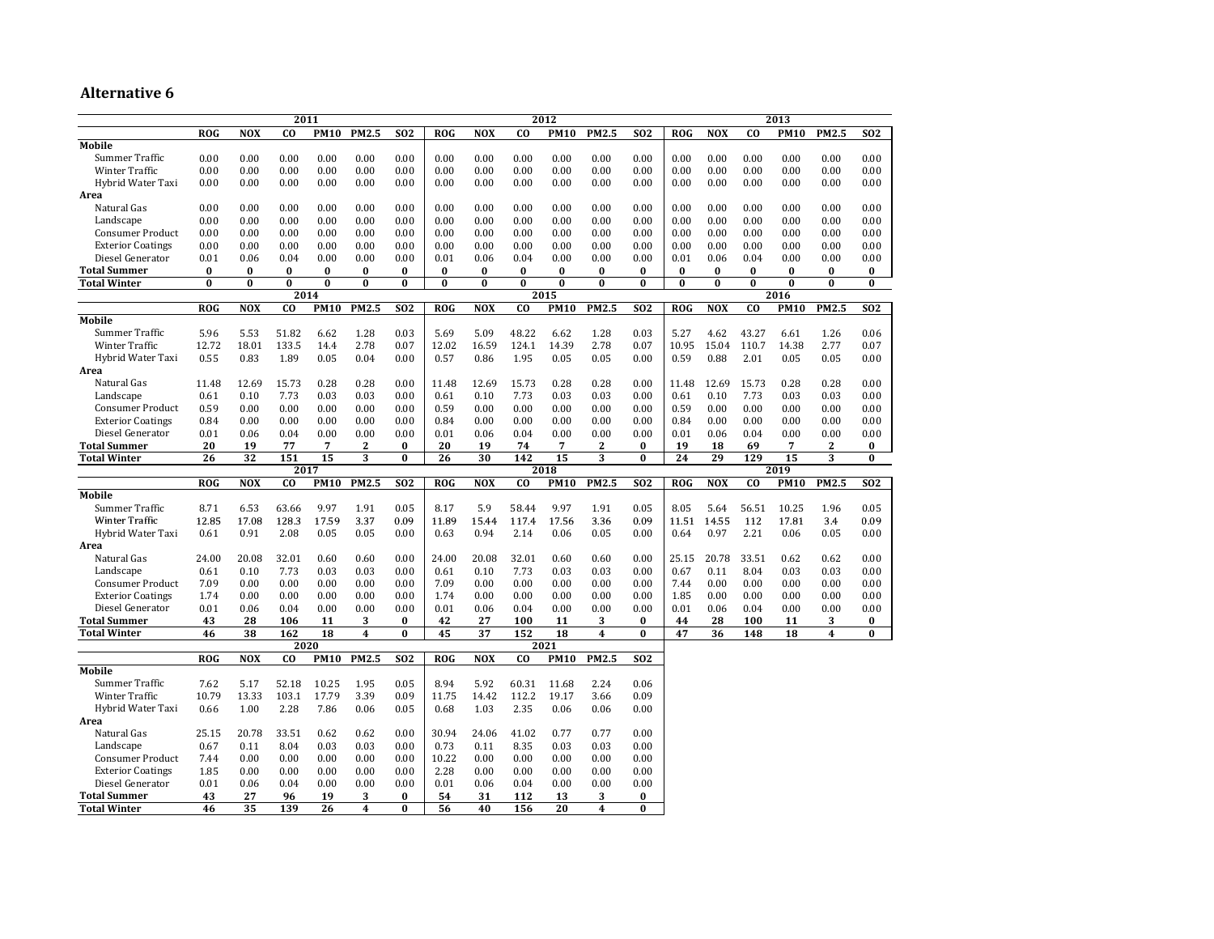|                                            |            |            | 2011        |                |                              |                 |            |            |                | 2012           |                              |               |            |            |          | 2013        |                  |               |
|--------------------------------------------|------------|------------|-------------|----------------|------------------------------|-----------------|------------|------------|----------------|----------------|------------------------------|---------------|------------|------------|----------|-------------|------------------|---------------|
|                                            | <b>ROG</b> | <b>NOX</b> | CO.         | <b>PM10</b>    | PM2.5                        | <b>SO2</b>      | <b>ROG</b> | <b>NOX</b> | co             | <b>PM10</b>    | PM2.5                        | <b>SO2</b>    | <b>ROG</b> | <b>NOX</b> | co       | <b>PM10</b> | PM2.5            | <b>SO2</b>    |
| Mobile                                     |            |            |             |                |                              |                 |            |            |                |                |                              |               |            |            |          |             |                  |               |
| Summer Traffic                             | 0.00       | 0.00       | 0.00        | 0.00           | 0.00                         | 0.00            | 0.00       | 0.00       | 0.00           | 0.00           | 0.00                         | 0.00          | 0.00       | 0.00       | 0.00     | 0.00        | 0.00             | 0.00          |
| <b>Winter Traffic</b>                      | 0.00       | 0.00       | 0.00        | 0.00           | 0.00                         | 0.00            | 0.00       | 0.00       | 0.00           | 0.00           | 0.00                         | 0.00          | 0.00       | 0.00       | 0.00     | 0.00        | 0.00             | 0.00          |
| Hybrid Water Taxi                          | 0.00       | 0.00       | 0.00        | 0.00           | 0.00                         | 0.00            | 0.00       | 0.00       | 0.00           | 0.00           | 0.00                         | 0.00          | 0.00       | 0.00       | 0.00     | 0.00        | 0.00             | 0.00          |
| Area                                       |            |            |             |                |                              |                 |            |            |                |                |                              |               |            |            |          |             |                  |               |
| Natural Gas                                | 0.00       | 0.00       | 0.00        | 0.00           | 0.00                         | 0.00            | 0.00       | 0.00       | 0.00           | 0.00           | 0.00                         | 0.00          | 0.00       | 0.00       | 0.00     | 0.00        | 0.00             | 0.00          |
| Landscape                                  | 0.00       | 0.00       | 0.00        | 0.00           | 0.00                         | 0.00            | 0.00       | 0.00       | 0.00           | 0.00           | 0.00                         | 0.00          | 0.00       | 0.00       | 0.00     | 0.00        | 0.00             | 0.00          |
| Consumer Product                           | 0.00       | 0.00       | 0.00        | 0.00           | 0.00                         | 0.00            | 0.00       | 0.00       | 0.00           | 0.00           | 0.00                         | 0.00          | 0.00       | 0.00       | 0.00     | 0.00        | 0.00             | 0.00          |
| <b>Exterior Coatings</b>                   | 0.00       | 0.00       | 0.00        | 0.00           | 0.00                         | 0.00            | 0.00       | 0.00       | 0.00           | 0.00           | 0.00                         | 0.00          | 0.00       | 0.00       | 0.00     | 0.00        | 0.00             | 0.00          |
| Diesel Generator                           | 0.01       | 0.06       | 0.04        | 0.00           | 0.00                         | 0.00            | 0.01       | 0.06       | 0.04           | 0.00           | 0.00                         | 0.00          | 0.01       | 0.06       | 0.04     | 0.00        | 0.00             | 0.00          |
| <b>Total Summer</b>                        | 0          | 0          | 0           | 0              | 0                            | 0               | $\bf{0}$   | 0          | $\bf{0}$       | $\bf{0}$       | 0                            | 0             | 0          | 0          | 0        | 0           | $\bf{0}$         | 0             |
| <b>Total Winter</b>                        | $\bf{0}$   | $\bf{0}$   | $\bf{0}$    | $\bf{0}$       | $\bf{0}$                     | $\bf{0}$        | $\bf{0}$   | $\bf{0}$   | $\bf{0}$       | $\bf{0}$       | $\bf{0}$                     | $\bf{0}$      | $\bf{0}$   | $\bf{0}$   | $\bf{0}$ | $\bf{0}$    | $\bf{0}$         | $\bf{0}$      |
|                                            |            |            | 2014        |                |                              |                 |            |            |                | 2015           |                              |               |            |            |          | 2016        |                  |               |
|                                            | <b>ROG</b> | <b>NOX</b> | CO          | <b>PM10</b>    | PM2.5                        | <b>SO2</b>      | <b>ROG</b> | <b>NOX</b> | co             | <b>PM10</b>    | PM2.5                        | <b>SO2</b>    | <b>ROG</b> | <b>NOX</b> | co       | <b>PM10</b> | PM2.5            | <b>SO2</b>    |
| Mobile                                     |            |            |             |                |                              |                 |            |            |                |                |                              |               |            |            |          |             |                  |               |
| Summer Traffic                             | 5.96       | 5.53       | 51.82       | 6.62           | 1.28                         | 0.03            | 5.69       | 5.09       | 48.22          | 6.62           | 1.28                         | 0.03          | 5.27       | 4.62       | 43.27    | 6.61        | 1.26             | 0.06          |
| <b>Winter Traffic</b>                      | 12.72      | 18.01      | 133.5       | 14.4           | 2.78                         | 0.07            | 12.02      | 16.59      | 124.1          | 14.39          | 2.78                         | 0.07          | 10.95      | 15.04      | 110.7    | 14.38       | 2.77             | 0.07          |
| Hybrid Water Taxi                          | 0.55       | 0.83       | 1.89        | 0.05           | 0.04                         | 0.00            | 0.57       | 0.86       | 1.95           | 0.05           | 0.05                         | 0.00          | 0.59       | 0.88       | 2.01     | 0.05        | 0.05             | 0.00          |
| Area<br>Natural Gas                        | 11.48      | 12.69      | 15.73       | 0.28           | 0.28                         | 0.00            | 11.48      | 12.69      | 15.73          | 0.28           | 0.28                         | 0.00          | 11.48      | 12.69      | 15.73    | 0.28        | 0.28             | 0.00          |
| Landscape                                  | 0.61       | 0.10       | 7.73        | 0.03           | 0.03                         | 0.00            | 0.61       | 0.10       | 7.73           | 0.03           | 0.03                         | 0.00          | 0.61       | 0.10       | 7.73     | 0.03        | 0.03             | 0.00          |
| <b>Consumer Product</b>                    | 0.59       | 0.00       | 0.00        | 0.00           | 0.00                         | 0.00            | 0.59       | 0.00       | 0.00           | 0.00           | 0.00                         | 0.00          | 0.59       | 0.00       | 0.00     | 0.00        | 0.00             | 0.00          |
| <b>Exterior Coatings</b>                   | 0.84       | 0.00       | 0.00        | 0.00           | 0.00                         | 0.00            | 0.84       | 0.00       | 0.00           | 0.00           | 0.00                         | 0.00          | 0.84       | 0.00       | 0.00     | 0.00        | 0.00             | 0.00          |
| Diesel Generator                           | 0.01       | 0.06       | 0.04        | 0.00           | 0.00                         | 0.00            | 0.01       | 0.06       | 0.04           | 0.00           | 0.00                         | 0.00          | 0.01       | 0.06       | 0.04     | 0.00        | 0.00             | 0.00          |
| <b>Total Summer</b>                        | 20         | 19         | 77          | $\overline{7}$ | $\boldsymbol{2}$             | 0               | 20         | 19         | 74             | $\overline{7}$ | $\mathbf{2}$                 | $\bf{0}$      | 19         | 18         | 69       | 7           | $\boldsymbol{2}$ | $\bf{0}$      |
| <b>Total Winter</b>                        | 26         | 32         | 151         | 15             | 3                            | 0               | 26         | 30         | 142            | 15             | 3                            | $\bf{0}$      | 24         | 29         | 129      | 15          | 3                | $\bf{0}$      |
|                                            |            |            | 2017        |                |                              |                 |            |            |                | 2018           |                              |               |            |            |          | 2019        |                  |               |
|                                            | <b>ROG</b> | <b>NOX</b> | $_{\rm CO}$ | <b>PM10</b>    | <b>PM2.5</b>                 | <b>SO2</b>      | <b>ROG</b> | <b>NOX</b> | co             | <b>PM10</b>    | <b>PM2.5</b>                 | <b>SO2</b>    | <b>ROG</b> | <b>NOX</b> | CO.      | <b>PM10</b> | <b>PM2.5</b>     | <b>SO2</b>    |
| Mobile                                     |            |            |             |                |                              |                 |            |            |                |                |                              |               |            |            |          |             |                  |               |
| Summer Traffic                             | 8.71       | 6.53       | 63.66       | 9.97           | 1.91                         | 0.05            | 8.17       | 5.9        | 58.44          | 9.97           | 1.91                         | 0.05          | 8.05       | 5.64       | 56.51    | 10.25       | 1.96             | 0.05          |
| <b>Winter Traffic</b>                      | 12.85      | 17.08      | 128.3       | 17.59          | 3.37                         | 0.09            | 11.89      | 15.44      | 117.4          | 17.56          | 3.36                         | 0.09          | 11.51      | 14.55      | 112      | 17.81       | 3.4              | 0.09          |
| Hybrid Water Taxi                          | 0.61       | 0.91       | 2.08        | 0.05           | 0.05                         | 0.00            | 0.63       | 0.94       | 2.14           | 0.06           | 0.05                         | 0.00          | 0.64       | 0.97       | 2.21     | 0.06        | 0.05             | 0.00          |
| Area                                       |            |            |             |                |                              |                 |            |            |                |                |                              |               |            |            |          |             |                  |               |
| Natural Gas                                | 24.00      | 20.08      | 32.01       | 0.60           | 0.60                         | 0.00            | 24.00      | 20.08      | 32.01          | 0.60           | 0.60                         | 0.00          | 25.15      | 20.78      | 33.51    | 0.62        | 0.62             | 0.00          |
| Landscape                                  | 0.61       | 0.10       | 7.73        | 0.03           | 0.03                         | 0.00            | 0.61       | 0.10       | 7.73           | 0.03           | 0.03                         | 0.00          | 0.67       | 0.11       | 8.04     | 0.03        | 0.03             | 0.00          |
| Consumer Product                           | 7.09       | 0.00       | 0.00        | 0.00           | 0.00                         | 0.00            | 7.09       | 0.00       | 0.00           | 0.00           | 0.00                         | 0.00          | 7.44       | 0.00       | 0.00     | 0.00        | 0.00             | 0.00          |
| <b>Exterior Coatings</b>                   | 1.74       | 0.00       | 0.00        | 0.00           | 0.00                         | 0.00            | 1.74       | 0.00       | 0.00           | 0.00           | 0.00                         | 0.00          | 1.85       | 0.00       | 0.00     | 0.00        | 0.00             | 0.00          |
| Diesel Generator                           | 0.01       | 0.06       | 0.04        | 0.00           | 0.00                         | 0.00            | 0.01       | 0.06       | 0.04           | 0.00           | 0.00                         | 0.00          | 0.01       | 0.06       | 0.04     | 0.00        | 0.00             | 0.00          |
| <b>Total Summer</b><br><b>Total Winter</b> | 43<br>46   | 28         | 106         | 11<br>18       | 3<br>$\overline{\mathbf{4}}$ | 0<br>$\bf{0}$   | 42<br>45   | 27<br>37   | 100<br>152     | 11<br>18       | 3<br>$\overline{\mathbf{4}}$ | 0<br>$\bf{0}$ | 44<br>47   | 28         | 100      | 11          | 3<br>4           | 0<br>$\bf{0}$ |
|                                            |            | 38         | 162<br>2020 |                |                              |                 |            |            |                | 2021           |                              |               |            | 36         | 148      | 18          |                  |               |
|                                            | ROG        | <b>NOX</b> | CO          | <b>PM10</b>    | $\overline{PM2.5}$           | S <sub>02</sub> | <b>ROG</b> | NOX        | $\overline{c}$ | <b>PM10</b>    | $\overline{PM2.5}$           | <b>SO2</b>    |            |            |          |             |                  |               |
| Mobile                                     |            |            |             |                |                              |                 |            |            |                |                |                              |               |            |            |          |             |                  |               |
| Summer Traffic                             | 7.62       | 5.17       | 52.18       | 10.25          | 1.95                         | 0.05            | 8.94       | 5.92       | 60.31          | 11.68          | 2.24                         | 0.06          |            |            |          |             |                  |               |
| <b>Winter Traffic</b>                      | 10.79      | 13.33      | 103.1       | 17.79          | 3.39                         | 0.09            | 11.75      | 14.42      | 112.2          | 19.17          | 3.66                         | 0.09          |            |            |          |             |                  |               |
| Hybrid Water Taxi                          | 0.66       | 1.00       | 2.28        | 7.86           | 0.06                         | 0.05            | 0.68       | 1.03       | 2.35           | 0.06           | 0.06                         | 0.00          |            |            |          |             |                  |               |
| Area                                       |            |            |             |                |                              |                 |            |            |                |                |                              |               |            |            |          |             |                  |               |
| Natural Gas                                | 25.15      | 20.78      | 33.51       | 0.62           | 0.62                         | 0.00            | 30.94      | 24.06      | 41.02          | 0.77           | 0.77                         | 0.00          |            |            |          |             |                  |               |
| Landscape                                  | 0.67       | 0.11       | 8.04        | 0.03           | 0.03                         | 0.00            | 0.73       | 0.11       | 8.35           | 0.03           | 0.03                         | 0.00          |            |            |          |             |                  |               |
| <b>Consumer Product</b>                    | 7.44       | 0.00       | 0.00        | 0.00           | 0.00                         | 0.00            | 10.22      | 0.00       | 0.00           | 0.00           | 0.00                         | 0.00          |            |            |          |             |                  |               |
| <b>Exterior Coatings</b>                   | 1.85       | 0.00       | 0.00        | 0.00           | 0.00                         | 0.00            | 2.28       | 0.00       | 0.00           | 0.00           | 0.00                         | 0.00          |            |            |          |             |                  |               |
| Diesel Generator                           | 0.01       | 0.06       | 0.04        | 0.00           | 0.00                         | 0.00            | 0.01       | 0.06       | 0.04           | 0.00           | 0.00                         | 0.00          |            |            |          |             |                  |               |
| <b>Total Summer</b>                        | 43         | 27         | 96          | 19             | 3                            | 0               | 54         | 31         | 112            | 13             | 3                            | 0             |            |            |          |             |                  |               |
| <b>Total Winter</b>                        | 46         | 35         | 139         | 26             | $\overline{\mathbf{4}}$      | $\bf{0}$        | 56         | 40         | 156            | 20             | $\overline{\mathbf{4}}$      | $\bf{0}$      |            |            |          |             |                  |               |